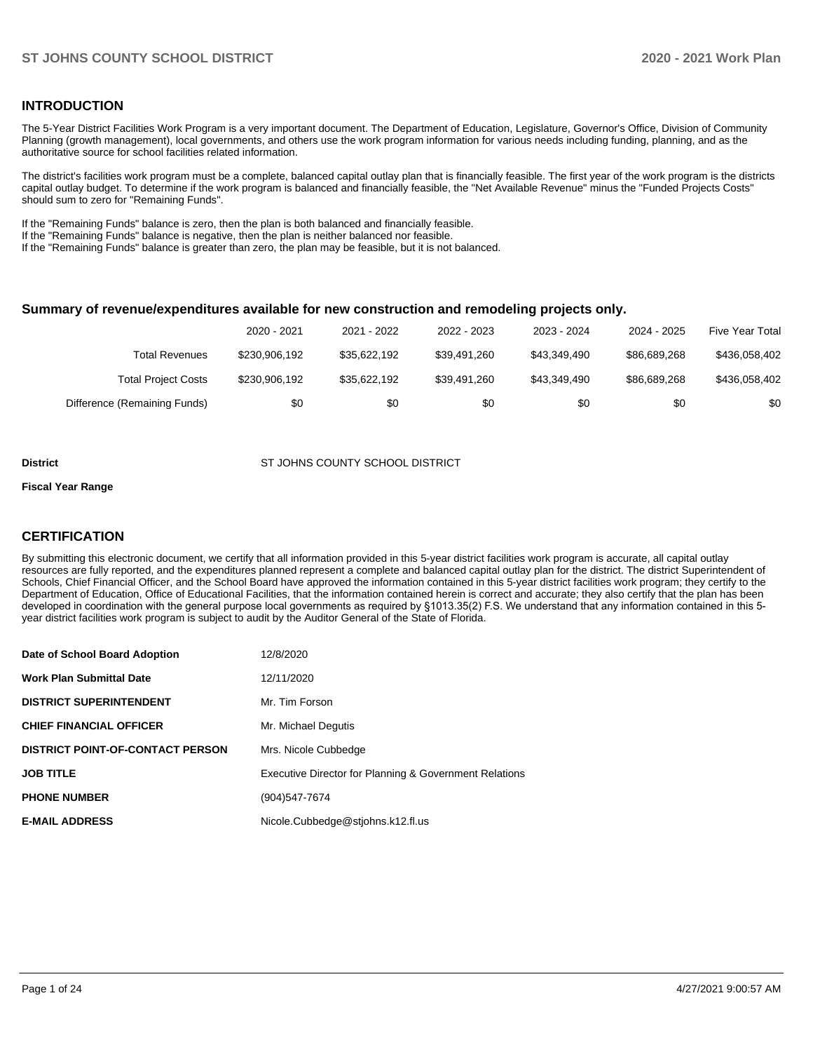### **INTRODUCTION**

The 5-Year District Facilities Work Program is a very important document. The Department of Education, Legislature, Governor's Office, Division of Community Planning (growth management), local governments, and others use the work program information for various needs including funding, planning, and as the authoritative source for school facilities related information.

The district's facilities work program must be a complete, balanced capital outlay plan that is financially feasible. The first year of the work program is the districts capital outlay budget. To determine if the work program is balanced and financially feasible, the "Net Available Revenue" minus the "Funded Projects Costs" should sum to zero for "Remaining Funds".

If the "Remaining Funds" balance is zero, then the plan is both balanced and financially feasible.

If the "Remaining Funds" balance is negative, then the plan is neither balanced nor feasible.

If the "Remaining Funds" balance is greater than zero, the plan may be feasible, but it is not balanced.

### **Summary of revenue/expenditures available for new construction and remodeling projects only.**

|                              | 2020 - 2021   | 2021 - 2022  | 2022 - 2023  | 2023 - 2024  | 2024 - 2025  | <b>Five Year Total</b> |
|------------------------------|---------------|--------------|--------------|--------------|--------------|------------------------|
| Total Revenues               | \$230,906.192 | \$35.622.192 | \$39.491.260 | \$43,349,490 | \$86.689.268 | \$436,058,402          |
| <b>Total Project Costs</b>   | \$230,906.192 | \$35.622.192 | \$39.491.260 | \$43.349.490 | \$86.689.268 | \$436,058,402          |
| Difference (Remaining Funds) | \$0           | \$0          | \$0          | \$0          | \$0          | \$0                    |

#### **District ST JOHNS COUNTY SCHOOL DISTRICT**

#### **Fiscal Year Range**

### **CERTIFICATION**

By submitting this electronic document, we certify that all information provided in this 5-year district facilities work program is accurate, all capital outlay resources are fully reported, and the expenditures planned represent a complete and balanced capital outlay plan for the district. The district Superintendent of Schools, Chief Financial Officer, and the School Board have approved the information contained in this 5-year district facilities work program; they certify to the Department of Education, Office of Educational Facilities, that the information contained herein is correct and accurate; they also certify that the plan has been developed in coordination with the general purpose local governments as required by §1013.35(2) F.S. We understand that any information contained in this 5 year district facilities work program is subject to audit by the Auditor General of the State of Florida.

| Date of School Board Adoption           | 12/8/2020                                              |
|-----------------------------------------|--------------------------------------------------------|
| <b>Work Plan Submittal Date</b>         | 12/11/2020                                             |
| <b>DISTRICT SUPERINTENDENT</b>          | Mr. Tim Forson                                         |
| <b>CHIEF FINANCIAL OFFICER</b>          | Mr. Michael Degutis                                    |
| <b>DISTRICT POINT-OF-CONTACT PERSON</b> | Mrs. Nicole Cubbedge                                   |
| <b>JOB TITLE</b>                        | Executive Director for Planning & Government Relations |
| <b>PHONE NUMBER</b>                     | (904)547-7674                                          |
| <b>E-MAIL ADDRESS</b>                   | Nicole.Cubbedge@stjohns.k12.fl.us                      |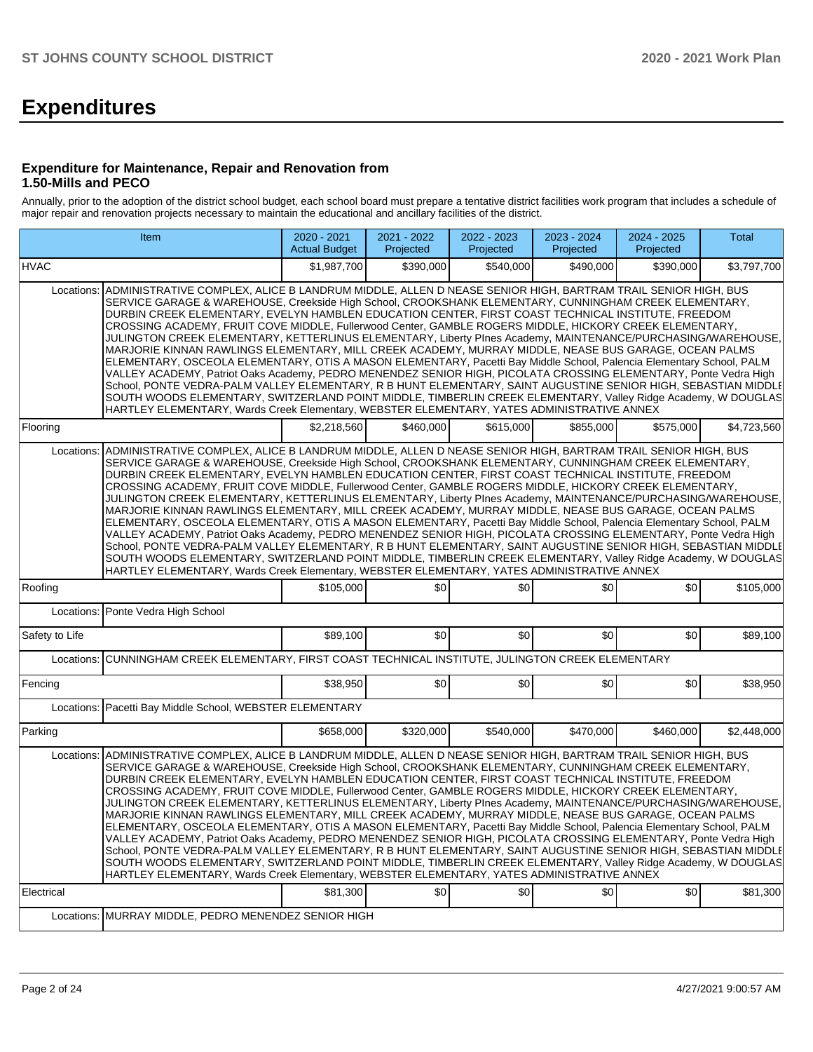# **Expenditures**

### **Expenditure for Maintenance, Repair and Renovation from 1.50-Mills and PECO**

Annually, prior to the adoption of the district school budget, each school board must prepare a tentative district facilities work program that includes a schedule of major repair and renovation projects necessary to maintain the educational and ancillary facilities of the district.

|                | Item                                                                                                                                                                                                                                                                                                                                                                                                                                                                                                                                                                                                                                                                                                                                                                                                                                                                                                                                                                                                                                                                                                                                                                                                                                       | 2020 - 2021<br><b>Actual Budget</b> | 2021 - 2022<br>Projected | 2022 - 2023<br>Projected | 2023 - 2024<br>Projected | 2024 - 2025<br>Projected | <b>Total</b> |
|----------------|--------------------------------------------------------------------------------------------------------------------------------------------------------------------------------------------------------------------------------------------------------------------------------------------------------------------------------------------------------------------------------------------------------------------------------------------------------------------------------------------------------------------------------------------------------------------------------------------------------------------------------------------------------------------------------------------------------------------------------------------------------------------------------------------------------------------------------------------------------------------------------------------------------------------------------------------------------------------------------------------------------------------------------------------------------------------------------------------------------------------------------------------------------------------------------------------------------------------------------------------|-------------------------------------|--------------------------|--------------------------|--------------------------|--------------------------|--------------|
| <b>HVAC</b>    |                                                                                                                                                                                                                                                                                                                                                                                                                                                                                                                                                                                                                                                                                                                                                                                                                                                                                                                                                                                                                                                                                                                                                                                                                                            | \$1,987,700                         | \$390,000                | \$540,000                | \$490,000                | \$390,000                | \$3,797,700  |
| Locations:     | ADMINISTRATIVE COMPLEX, ALICE B LANDRUM MIDDLE, ALLEN D NEASE SENIOR HIGH, BARTRAM TRAIL SENIOR HIGH, BUS<br>SERVICE GARAGE & WAREHOUSE, Creekside High School, CROOKSHANK ELEMENTARY, CUNNINGHAM CREEK ELEMENTARY,<br>DURBIN CREEK ELEMENTARY, EVELYN HAMBLEN EDUCATION CENTER, FIRST COAST TECHNICAL INSTITUTE, FREEDOM<br>CROSSING ACADEMY, FRUIT COVE MIDDLE, Fullerwood Center, GAMBLE ROGERS MIDDLE, HICKORY CREEK ELEMENTARY,<br>JULINGTON CREEK ELEMENTARY, KETTERLINUS ELEMENTARY, Liberty PInes Academy, MAINTENANCE/PURCHASING/WAREHOUSE,<br>MARJORIE KINNAN RAWLINGS ELEMENTARY, MILL CREEK ACADEMY, MURRAY MIDDLE, NEASE BUS GARAGE, OCEAN PALMS<br>ELEMENTARY, OSCEOLA ELEMENTARY, OTIS A MASON ELEMENTARY, Pacetti Bay Middle School, Palencia Elementary School, PALM<br>VALLEY ACADEMY, Patriot Oaks Academy, PEDRO MENENDEZ SENIOR HIGH, PICOLATA CROSSING ELEMENTARY, Ponte Vedra High<br>School, PONTE VEDRA-PALM VALLEY ELEMENTARY, R B HUNT ELEMENTARY, SAINT AUGUSTINE SENIOR HIGH, SEBASTIAN MIDDLE<br>SOUTH WOODS ELEMENTARY, SWITZERLAND POINT MIDDLE, TIMBERLIN CREEK ELEMENTARY, Valley Ridge Academy, W DOUGLAS<br>HARTLEY ELEMENTARY, Wards Creek Elementary, WEBSTER ELEMENTARY, YATES ADMINISTRATIVE ANNEX |                                     |                          |                          |                          |                          |              |
| Flooring       |                                                                                                                                                                                                                                                                                                                                                                                                                                                                                                                                                                                                                                                                                                                                                                                                                                                                                                                                                                                                                                                                                                                                                                                                                                            | \$2,218,560                         | \$460,000                | \$615,000                | \$855,000                | \$575,000                | \$4,723,560  |
| Locations:     | ADMINISTRATIVE COMPLEX, ALICE B LANDRUM MIDDLE, ALLEN D NEASE SENIOR HIGH, BARTRAM TRAIL SENIOR HIGH, BUS<br>SERVICE GARAGE & WAREHOUSE, Creekside High School, CROOKSHANK ELEMENTARY, CUNNINGHAM CREEK ELEMENTARY,<br>DURBIN CREEK ELEMENTARY, EVELYN HAMBLEN EDUCATION CENTER, FIRST COAST TECHNICAL INSTITUTE, FREEDOM<br>CROSSING ACADEMY, FRUIT COVE MIDDLE, Fullerwood Center, GAMBLE ROGERS MIDDLE, HICKORY CREEK ELEMENTARY,<br>JULINGTON CREEK ELEMENTARY, KETTERLINUS ELEMENTARY, Liberty Plnes Academy, MAINTENANCE/PURCHASING/WAREHOUSE,<br>MARJORIE KINNAN RAWLINGS ELEMENTARY, MILL CREEK ACADEMY, MURRAY MIDDLE, NEASE BUS GARAGE, OCEAN PALMS<br>ELEMENTARY, OSCEOLA ELEMENTARY, OTIS A MASON ELEMENTARY, Pacetti Bay Middle School, Palencia Elementary School, PALM<br>VALLEY ACADEMY, Patriot Oaks Academy, PEDRO MENENDEZ SENIOR HIGH, PICOLATA CROSSING ELEMENTARY, Ponte Vedra High<br>School, PONTE VEDRA-PALM VALLEY ELEMENTARY, R B HUNT ELEMENTARY, SAINT AUGUSTINE SENIOR HIGH, SEBASTIAN MIDDLE<br>SOUTH WOODS ELEMENTARY, SWITZERLAND POINT MIDDLE, TIMBERLIN CREEK ELEMENTARY, Valley Ridge Academy, W DOUGLAS<br>HARTLEY ELEMENTARY, Wards Creek Elementary, WEBSTER ELEMENTARY, YATES ADMINISTRATIVE ANNEX |                                     |                          |                          |                          |                          |              |
| Roofing        |                                                                                                                                                                                                                                                                                                                                                                                                                                                                                                                                                                                                                                                                                                                                                                                                                                                                                                                                                                                                                                                                                                                                                                                                                                            | \$105,000                           | \$0                      | \$0                      | \$0                      | \$0                      | \$105,000    |
| Locations:     | Ponte Vedra High School                                                                                                                                                                                                                                                                                                                                                                                                                                                                                                                                                                                                                                                                                                                                                                                                                                                                                                                                                                                                                                                                                                                                                                                                                    |                                     |                          |                          |                          |                          |              |
| Safety to Life |                                                                                                                                                                                                                                                                                                                                                                                                                                                                                                                                                                                                                                                                                                                                                                                                                                                                                                                                                                                                                                                                                                                                                                                                                                            | \$89,100                            | \$0                      | \$0                      | \$0                      | \$0                      | \$89,100     |
| Locations:     | CUNNINGHAM CREEK ELEMENTARY, FIRST COAST TECHNICAL INSTITUTE, JULINGTON CREEK ELEMENTARY                                                                                                                                                                                                                                                                                                                                                                                                                                                                                                                                                                                                                                                                                                                                                                                                                                                                                                                                                                                                                                                                                                                                                   |                                     |                          |                          |                          |                          |              |
| Fencing        |                                                                                                                                                                                                                                                                                                                                                                                                                                                                                                                                                                                                                                                                                                                                                                                                                                                                                                                                                                                                                                                                                                                                                                                                                                            | \$38,950                            | \$0                      | \$0                      | \$0                      | \$0                      | \$38,950     |
| Locations:     | Pacetti Bay Middle School, WEBSTER ELEMENTARY                                                                                                                                                                                                                                                                                                                                                                                                                                                                                                                                                                                                                                                                                                                                                                                                                                                                                                                                                                                                                                                                                                                                                                                              |                                     |                          |                          |                          |                          |              |
| Parking        |                                                                                                                                                                                                                                                                                                                                                                                                                                                                                                                                                                                                                                                                                                                                                                                                                                                                                                                                                                                                                                                                                                                                                                                                                                            | \$658,000                           | \$320,000                | \$540,000                | \$470,000                | \$460,000                | \$2,448,000  |
| Locations:     | ADMINISTRATIVE COMPLEX, ALICE B LANDRUM MIDDLE, ALLEN D NEASE SENIOR HIGH, BARTRAM TRAIL SENIOR HIGH, BUS<br>SERVICE GARAGE & WAREHOUSE, Creekside High School, CROOKSHANK ELEMENTARY, CUNNINGHAM CREEK ELEMENTARY,<br>DURBIN CREEK ELEMENTARY, EVELYN HAMBLEN EDUCATION CENTER, FIRST COAST TECHNICAL INSTITUTE, FREEDOM<br>CROSSING ACADEMY, FRUIT COVE MIDDLE, Fullerwood Center, GAMBLE ROGERS MIDDLE, HICKORY CREEK ELEMENTARY,<br>JULINGTON CREEK ELEMENTARY, KETTERLINUS ELEMENTARY, Liberty PInes Academy, MAINTENANCE/PURCHASING/WAREHOUSE,<br>MARJORIE KINNAN RAWLINGS ELEMENTARY, MILL CREEK ACADEMY, MURRAY MIDDLE, NEASE BUS GARAGE, OCEAN PALMS<br>ELEMENTARY, OSCEOLA ELEMENTARY, OTIS A MASON ELEMENTARY, Pacetti Bay Middle School, Palencia Elementary School, PALM<br>VALLEY ACADEMY, Patriot Oaks Academy, PEDRO MENENDEZ SENIOR HIGH, PICOLATA CROSSING ELEMENTARY, Ponte Vedra High<br>School, PONTE VEDRA-PALM VALLEY ELEMENTARY, R B HUNT ELEMENTARY, SAINT AUGUSTINE SENIOR HIGH, SEBASTIAN MIDDLE<br>SOUTH WOODS ELEMENTARY, SWITZERLAND POINT MIDDLE, TIMBERLIN CREEK ELEMENTARY, Valley Ridge Academy, W DOUGLAS<br>HARTLEY ELEMENTARY, Wards Creek Elementary, WEBSTER ELEMENTARY, YATES ADMINISTRATIVE ANNEX |                                     |                          |                          |                          |                          |              |
| Electrical     |                                                                                                                                                                                                                                                                                                                                                                                                                                                                                                                                                                                                                                                                                                                                                                                                                                                                                                                                                                                                                                                                                                                                                                                                                                            | \$81,300                            | \$0                      | \$0                      | \$0                      | \$0                      | \$81,300     |
|                | Locations: MURRAY MIDDLE, PEDRO MENENDEZ SENIOR HIGH                                                                                                                                                                                                                                                                                                                                                                                                                                                                                                                                                                                                                                                                                                                                                                                                                                                                                                                                                                                                                                                                                                                                                                                       |                                     |                          |                          |                          |                          |              |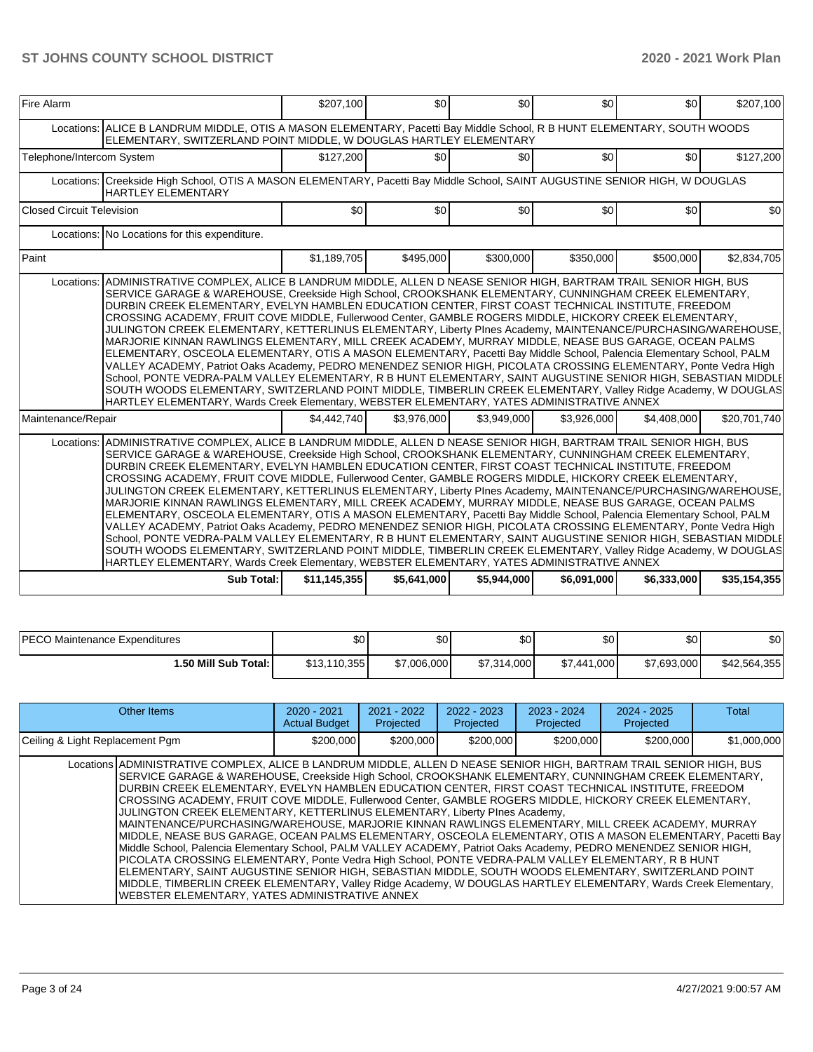| Fire Alarm                |                                                                                                                                                                                                                                                                                                                                                                                                                                                                                                                                                                                                                                                                                                                                                                                                                                                                                                                                                                                                                                                                                                                                                                                                                                                       | \$207,100    | \$0 <sub>1</sub> | \$0         | \$0         | \$0         | \$207,100    |
|---------------------------|-------------------------------------------------------------------------------------------------------------------------------------------------------------------------------------------------------------------------------------------------------------------------------------------------------------------------------------------------------------------------------------------------------------------------------------------------------------------------------------------------------------------------------------------------------------------------------------------------------------------------------------------------------------------------------------------------------------------------------------------------------------------------------------------------------------------------------------------------------------------------------------------------------------------------------------------------------------------------------------------------------------------------------------------------------------------------------------------------------------------------------------------------------------------------------------------------------------------------------------------------------|--------------|------------------|-------------|-------------|-------------|--------------|
|                           | Locations: ALICE B LANDRUM MIDDLE, OTIS A MASON ELEMENTARY, Pacetti Bay Middle School, R B HUNT ELEMENTARY, SOUTH WOODS<br>ELEMENTARY, SWITZERLAND POINT MIDDLE, W DOUGLAS HARTLEY ELEMENTARY                                                                                                                                                                                                                                                                                                                                                                                                                                                                                                                                                                                                                                                                                                                                                                                                                                                                                                                                                                                                                                                         |              |                  |             |             |             |              |
| Telephone/Intercom System |                                                                                                                                                                                                                                                                                                                                                                                                                                                                                                                                                                                                                                                                                                                                                                                                                                                                                                                                                                                                                                                                                                                                                                                                                                                       | \$127,200    | \$0              | \$O         | \$0         | \$0         | \$127,200    |
|                           | Locations: Creekside High School, OTIS A MASON ELEMENTARY, Pacetti Bay Middle School, SAINT AUGUSTINE SENIOR HIGH, W DOUGLAS<br><b>HARTLEY ELEMENTARY</b>                                                                                                                                                                                                                                                                                                                                                                                                                                                                                                                                                                                                                                                                                                                                                                                                                                                                                                                                                                                                                                                                                             |              |                  |             |             |             |              |
| Closed Circuit Television |                                                                                                                                                                                                                                                                                                                                                                                                                                                                                                                                                                                                                                                                                                                                                                                                                                                                                                                                                                                                                                                                                                                                                                                                                                                       | \$0          | \$0              | \$0         | \$0         | \$0         | \$0          |
|                           | Locations: No Locations for this expenditure.                                                                                                                                                                                                                                                                                                                                                                                                                                                                                                                                                                                                                                                                                                                                                                                                                                                                                                                                                                                                                                                                                                                                                                                                         |              |                  |             |             |             |              |
| Paint                     |                                                                                                                                                                                                                                                                                                                                                                                                                                                                                                                                                                                                                                                                                                                                                                                                                                                                                                                                                                                                                                                                                                                                                                                                                                                       | \$1,189,705  | \$495,000        | \$300,000   | \$350,000   | \$500,000   | \$2,834,705  |
|                           | Locations: ADMINISTRATIVE COMPLEX, ALICE B LANDRUM MIDDLE, ALLEN D NEASE SENIOR HIGH, BARTRAM TRAIL SENIOR HIGH, BUS<br>SERVICE GARAGE & WAREHOUSE, Creekside High School, CROOKSHANK ELEMENTARY, CUNNINGHAM CREEK ELEMENTARY,<br>DURBIN CREEK ELEMENTARY, EVELYN HAMBLEN EDUCATION CENTER, FIRST COAST TECHNICAL INSTITUTE, FREEDOM<br>CROSSING ACADEMY, FRUIT COVE MIDDLE, Fullerwood Center, GAMBLE ROGERS MIDDLE, HICKORY CREEK ELEMENTARY,<br>JULINGTON CREEK ELEMENTARY, KETTERLINUS ELEMENTARY, Liberty Plnes Academy, MAINTENANCE/PURCHASING/WAREHOUSE,<br>MARJORIE KINNAN RAWLINGS ELEMENTARY, MILL CREEK ACADEMY, MURRAY MIDDLE, NEASE BUS GARAGE, OCEAN PALMS<br>ELEMENTARY, OSCEOLA ELEMENTARY, OTIS A MASON ELEMENTARY, Pacetti Bay Middle School, Palencia Elementary School, PALM<br>VALLEY ACADEMY, Patriot Oaks Academy, PEDRO MENENDEZ SENIOR HIGH, PICOLATA CROSSING ELEMENTARY, Ponte Vedra High<br>School, PONTE VEDRA-PALM VALLEY ELEMENTARY, R B HUNT ELEMENTARY, SAINT AUGUSTINE SENIOR HIGH, SEBASTIAN MIDDLE<br>SOUTH WOODS ELEMENTARY, SWITZERLAND POINT MIDDLE, TIMBERLIN CREEK ELEMENTARY, Valley Ridge Academy, W DOUGLAS<br>HARTLEY ELEMENTARY, Wards Creek Elementary, WEBSTER ELEMENTARY, YATES ADMINISTRATIVE ANNEX |              |                  |             |             |             |              |
| Maintenance/Repair        |                                                                                                                                                                                                                                                                                                                                                                                                                                                                                                                                                                                                                                                                                                                                                                                                                                                                                                                                                                                                                                                                                                                                                                                                                                                       | \$4,442,740  | \$3,976,000      | \$3,949,000 | \$3,926,000 | \$4,408,000 | \$20,701,740 |
|                           | Locations: ADMINISTRATIVE COMPLEX, ALICE B LANDRUM MIDDLE, ALLEN D NEASE SENIOR HIGH, BARTRAM TRAIL SENIOR HIGH, BUS<br>SERVICE GARAGE & WAREHOUSE, Creekside High School, CROOKSHANK ELEMENTARY, CUNNINGHAM CREEK ELEMENTARY,<br>DURBIN CREEK ELEMENTARY, EVELYN HAMBLEN EDUCATION CENTER, FIRST COAST TECHNICAL INSTITUTE, FREEDOM<br>CROSSING ACADEMY, FRUIT COVE MIDDLE, Fullerwood Center, GAMBLE ROGERS MIDDLE, HICKORY CREEK ELEMENTARY,<br>JULINGTON CREEK ELEMENTARY, KETTERLINUS ELEMENTARY, Liberty PInes Academy, MAINTENANCE/PURCHASING/WAREHOUSE,<br>MARJORIE KINNAN RAWLINGS ELEMENTARY, MILL CREEK ACADEMY, MURRAY MIDDLE, NEASE BUS GARAGE, OCEAN PALMS<br>ELEMENTARY, OSCEOLA ELEMENTARY, OTIS A MASON ELEMENTARY, Pacetti Bay Middle School, Palencia Elementary School, PALM<br>VALLEY ACADEMY, Patriot Oaks Academy, PEDRO MENENDEZ SENIOR HIGH, PICOLATA CROSSING ELEMENTARY, Ponte Vedra High<br>School, PONTE VEDRA-PALM VALLEY ELEMENTARY, R B HUNT ELEMENTARY, SAINT AUGUSTINE SENIOR HIGH, SEBASTIAN MIDDLE<br>SOUTH WOODS ELEMENTARY, SWITZERLAND POINT MIDDLE, TIMBERLIN CREEK ELEMENTARY, Valley Ridge Academy, W DOUGLAS<br>HARTLEY ELEMENTARY, Wards Creek Elementary, WEBSTER ELEMENTARY, YATES ADMINISTRATIVE ANNEX |              |                  |             |             |             |              |
|                           | <b>Sub Total:</b>                                                                                                                                                                                                                                                                                                                                                                                                                                                                                                                                                                                                                                                                                                                                                                                                                                                                                                                                                                                                                                                                                                                                                                                                                                     | \$11,145,355 | \$5,641,000      | \$5,944,000 | \$6,091,000 | \$6,333,000 | \$35,154,355 |

| <b>IPECO</b><br>) Maintenance Expenditures | \$0          | ا 30        | \$0         | \$0 <sub>1</sub> | \$0         | \$0          |
|--------------------------------------------|--------------|-------------|-------------|------------------|-------------|--------------|
| <b>.50 Mill Sub Total: I</b>               | \$13.110.355 | \$7,006,000 | \$7,314,000 | \$7,441,000      | \$7,693,000 | \$42,564,355 |

| Other Items                                                                                                                                                                                                                                                                                                                                                                                                                                                                                                                                                                                                                                                                                                                                                                                                                                                                                                                                                                                                                                                                                                                                                                                                                                                     | $2020 - 2021$<br><b>Actual Budget</b> | $2021 - 2022$<br>Projected | $2022 - 2023$<br>Projected | $2023 - 2024$<br>Projected | $2024 - 2025$<br>Projected | Total       |
|-----------------------------------------------------------------------------------------------------------------------------------------------------------------------------------------------------------------------------------------------------------------------------------------------------------------------------------------------------------------------------------------------------------------------------------------------------------------------------------------------------------------------------------------------------------------------------------------------------------------------------------------------------------------------------------------------------------------------------------------------------------------------------------------------------------------------------------------------------------------------------------------------------------------------------------------------------------------------------------------------------------------------------------------------------------------------------------------------------------------------------------------------------------------------------------------------------------------------------------------------------------------|---------------------------------------|----------------------------|----------------------------|----------------------------|----------------------------|-------------|
| Ceiling & Light Replacement Pgm                                                                                                                                                                                                                                                                                                                                                                                                                                                                                                                                                                                                                                                                                                                                                                                                                                                                                                                                                                                                                                                                                                                                                                                                                                 | \$200,000                             | \$200,000                  | \$200,000                  | \$200,000                  | \$200,000                  | \$1,000,000 |
| Locations ADMINISTRATIVE COMPLEX, ALICE B LANDRUM MIDDLE, ALLEN D NEASE SENIOR HIGH, BARTRAM TRAIL SENIOR HIGH, BUS<br>SERVICE GARAGE & WAREHOUSE, Creekside High School, CROOKSHANK ELEMENTARY, CUNNINGHAM CREEK ELEMENTARY,<br>DURBIN CREEK ELEMENTARY, EVELYN HAMBLEN EDUCATION CENTER, FIRST COAST TECHNICAL INSTITUTE, FREEDOM<br>CROSSING ACADEMY, FRUIT COVE MIDDLE, Fullerwood Center, GAMBLE ROGERS MIDDLE, HICKORY CREEK ELEMENTARY,<br>JULINGTON CREEK ELEMENTARY, KETTERLINUS ELEMENTARY, Liberty Plnes Academy,<br>MAINTENANCE/PURCHASING/WAREHOUSE. MARJORIE KINNAN RAWLINGS ELEMENTARY. MILL CREEK ACADEMY. MURRAY<br>MIDDLE, NEASE BUS GARAGE, OCEAN PALMS ELEMENTARY, OSCEOLA ELEMENTARY, OTIS A MASON ELEMENTARY, Pacetti Bay<br>Middle School, Palencia Elementary School, PALM VALLEY ACADEMY, Patriot Oaks Academy, PEDRO MENENDEZ SENIOR HIGH,<br>PICOLATA CROSSING ELEMENTARY, Ponte Vedra High School, PONTE VEDRA-PALM VALLEY ELEMENTARY, R B HUNT<br>ELEMENTARY, SAINT AUGUSTINE SENIOR HIGH, SEBASTIAN MIDDLE, SOUTH WOODS ELEMENTARY, SWITZERLAND POINT<br>MIDDLE, TIMBERLIN CREEK ELEMENTARY, Valley Ridge Academy, W DOUGLAS HARTLEY ELEMENTARY, Wards Creek Elementary,<br><b>WEBSTER ELEMENTARY, YATES ADMINISTRATIVE ANNEX</b> |                                       |                            |                            |                            |                            |             |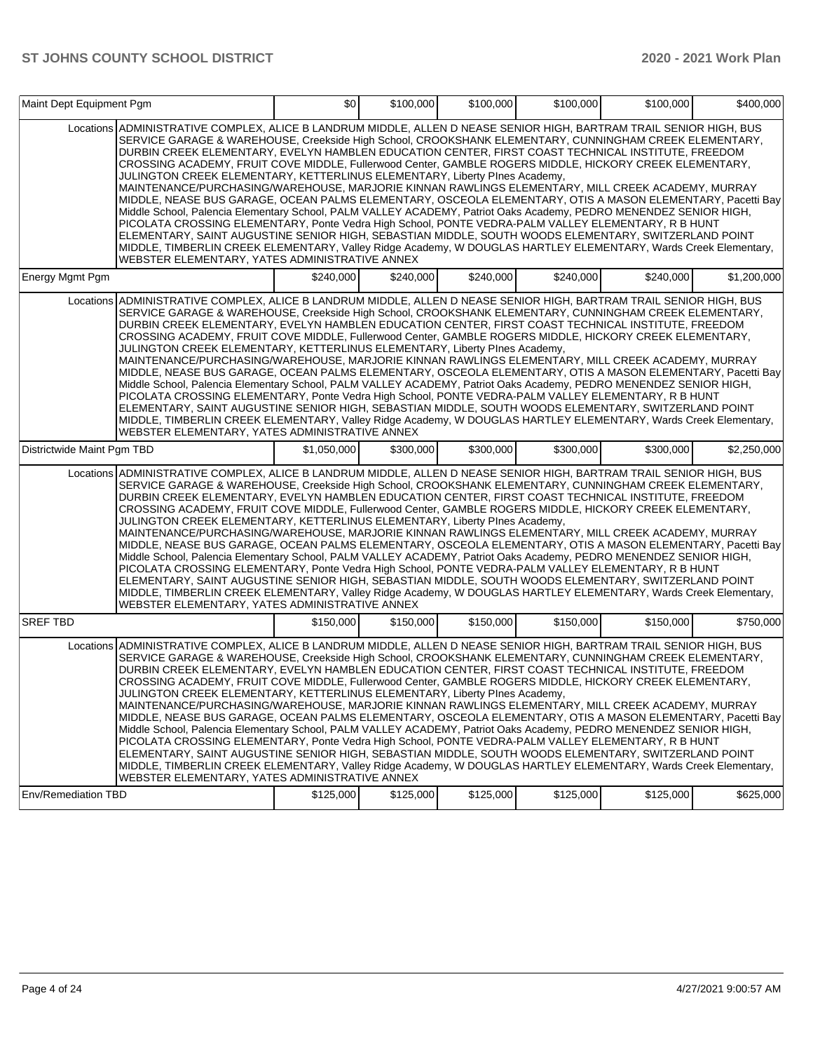| Maint Dept Equipment Pgm   |                                                                                                                                                                                                                                                                                                                                                                                                                                                                                                                                                                                                                                                                                                                                                                                                                                                                                                                                                                                                                                                                                                                                                                                                                                                          | \$0         | \$100,000 | \$100,000 | \$100,000 | \$100.000 | \$400,000   |
|----------------------------|----------------------------------------------------------------------------------------------------------------------------------------------------------------------------------------------------------------------------------------------------------------------------------------------------------------------------------------------------------------------------------------------------------------------------------------------------------------------------------------------------------------------------------------------------------------------------------------------------------------------------------------------------------------------------------------------------------------------------------------------------------------------------------------------------------------------------------------------------------------------------------------------------------------------------------------------------------------------------------------------------------------------------------------------------------------------------------------------------------------------------------------------------------------------------------------------------------------------------------------------------------|-------------|-----------|-----------|-----------|-----------|-------------|
|                            | Locations ADMINISTRATIVE COMPLEX, ALICE B LANDRUM MIDDLE, ALLEN D NEASE SENIOR HIGH, BARTRAM TRAIL SENIOR HIGH, BUS<br>SERVICE GARAGE & WAREHOUSE. Creekside High School. CROOKSHANK ELEMENTARY. CUNNINGHAM CREEK ELEMENTARY.<br>DURBIN CREEK ELEMENTARY, EVELYN HAMBLEN EDUCATION CENTER, FIRST COAST TECHNICAL INSTITUTE, FREEDOM<br>CROSSING ACADEMY, FRUIT COVE MIDDLE, Fullerwood Center, GAMBLE ROGERS MIDDLE, HICKORY CREEK ELEMENTARY,<br>JULINGTON CREEK ELEMENTARY, KETTERLINUS ELEMENTARY, Liberty PInes Academy,<br>MAINTENANCE/PURCHASING/WAREHOUSE, MARJORIE KINNAN RAWLINGS ELEMENTARY, MILL CREEK ACADEMY, MURRAY<br>MIDDLE, NEASE BUS GARAGE, OCEAN PALMS ELEMENTARY, OSCEOLA ELEMENTARY, OTIS A MASON ELEMENTARY, Pacetti Bay<br>Middle School, Palencia Elementary School, PALM VALLEY ACADEMY, Patriot Oaks Academy, PEDRO MENENDEZ SENIOR HIGH,<br>PICOLATA CROSSING ELEMENTARY, Ponte Vedra High School, PONTE VEDRA-PALM VALLEY ELEMENTARY, R B HUNT<br>ELEMENTARY, SAINT AUGUSTINE SENIOR HIGH, SEBASTIAN MIDDLE, SOUTH WOODS ELEMENTARY, SWITZERLAND POINT<br>MIDDLE, TIMBERLIN CREEK ELEMENTARY, Valley Ridge Academy, W DOUGLAS HARTLEY ELEMENTARY, Wards Creek Elementary,<br>WEBSTER ELEMENTARY, YATES ADMINISTRATIVE ANNEX |             |           |           |           |           |             |
| Energy Mgmt Pgm            |                                                                                                                                                                                                                                                                                                                                                                                                                                                                                                                                                                                                                                                                                                                                                                                                                                                                                                                                                                                                                                                                                                                                                                                                                                                          | \$240,000   | \$240,000 | \$240,000 | \$240,000 | \$240,000 | \$1,200,000 |
|                            | Locations ADMINISTRATIVE COMPLEX, ALICE B LANDRUM MIDDLE, ALLEN D NEASE SENIOR HIGH, BARTRAM TRAIL SENIOR HIGH, BUS<br>SERVICE GARAGE & WAREHOUSE, Creekside High School, CROOKSHANK ELEMENTARY, CUNNINGHAM CREEK ELEMENTARY,<br>DURBIN CREEK ELEMENTARY, EVELYN HAMBLEN EDUCATION CENTER, FIRST COAST TECHNICAL INSTITUTE, FREEDOM<br>CROSSING ACADEMY, FRUIT COVE MIDDLE, Fullerwood Center, GAMBLE ROGERS MIDDLE, HICKORY CREEK ELEMENTARY,<br>JULINGTON CREEK ELEMENTARY, KETTERLINUS ELEMENTARY, Liberty PInes Academy,<br>MAINTENANCE/PURCHASING/WAREHOUSE, MARJORIE KINNAN RAWLINGS ELEMENTARY, MILL CREEK ACADEMY, MURRAY<br>MIDDLE, NEASE BUS GARAGE, OCEAN PALMS ELEMENTARY, OSCEOLA ELEMENTARY, OTIS A MASON ELEMENTARY, Pacetti Bay<br>Middle School, Palencia Elementary School, PALM VALLEY ACADEMY, Patriot Oaks Academy, PEDRO MENENDEZ SENIOR HIGH,<br>PICOLATA CROSSING ELEMENTARY, Ponte Vedra High School, PONTE VEDRA-PALM VALLEY ELEMENTARY, R B HUNT<br>ELEMENTARY, SAINT AUGUSTINE SENIOR HIGH, SEBASTIAN MIDDLE, SOUTH WOODS ELEMENTARY, SWITZERLAND POINT<br>MIDDLE, TIMBERLIN CREEK ELEMENTARY, Valley Ridge Academy, W DOUGLAS HARTLEY ELEMENTARY, Wards Creek Elementary,<br>WEBSTER ELEMENTARY, YATES ADMINISTRATIVE ANNEX |             |           |           |           |           |             |
| Districtwide Maint Pgm TBD |                                                                                                                                                                                                                                                                                                                                                                                                                                                                                                                                                                                                                                                                                                                                                                                                                                                                                                                                                                                                                                                                                                                                                                                                                                                          | \$1,050,000 | \$300,000 | \$300,000 | \$300,000 | \$300,000 | \$2,250,000 |
|                            | Locations ADMINISTRATIVE COMPLEX, ALICE B LANDRUM MIDDLE, ALLEN D NEASE SENIOR HIGH, BARTRAM TRAIL SENIOR HIGH, BUS<br>SERVICE GARAGE & WAREHOUSE, Creekside High School, CROOKSHANK ELEMENTARY, CUNNINGHAM CREEK ELEMENTARY,<br>DURBIN CREEK ELEMENTARY, EVELYN HAMBLEN EDUCATION CENTER, FIRST COAST TECHNICAL INSTITUTE, FREEDOM<br>CROSSING ACADEMY, FRUIT COVE MIDDLE, Fullerwood Center, GAMBLE ROGERS MIDDLE, HICKORY CREEK ELEMENTARY,<br>JULINGTON CREEK ELEMENTARY, KETTERLINUS ELEMENTARY, Liberty PInes Academy,<br>MAINTENANCE/PURCHASING/WAREHOUSE, MARJORIE KINNAN RAWLINGS ELEMENTARY, MILL CREEK ACADEMY, MURRAY<br>MIDDLE, NEASE BUS GARAGE, OCEAN PALMS ELEMENTARY, OSCEOLA ELEMENTARY, OTIS A MASON ELEMENTARY, Pacetti Bay<br>Middle School, Palencia Elementary School, PALM VALLEY ACADEMY, Patriot Oaks Academy, PEDRO MENENDEZ SENIOR HIGH,<br>PICOLATA CROSSING ELEMENTARY, Ponte Vedra High School, PONTE VEDRA-PALM VALLEY ELEMENTARY, R B HUNT<br>ELEMENTARY, SAINT AUGUSTINE SENIOR HIGH, SEBASTIAN MIDDLE, SOUTH WOODS ELEMENTARY, SWITZERLAND POINT<br>MIDDLE, TIMBERLIN CREEK ELEMENTARY, Valley Ridge Academy, W DOUGLAS HARTLEY ELEMENTARY, Wards Creek Elementary,<br>WEBSTER ELEMENTARY, YATES ADMINISTRATIVE ANNEX |             |           |           |           |           |             |
| <b>SREF TBD</b>            |                                                                                                                                                                                                                                                                                                                                                                                                                                                                                                                                                                                                                                                                                                                                                                                                                                                                                                                                                                                                                                                                                                                                                                                                                                                          | \$150,000   | \$150,000 | \$150,000 | \$150,000 | \$150,000 | \$750,000   |
|                            | Locations ADMINISTRATIVE COMPLEX, ALICE B LANDRUM MIDDLE, ALLEN D NEASE SENIOR HIGH, BARTRAM TRAIL SENIOR HIGH, BUS<br>SERVICE GARAGE & WAREHOUSE, Creekside High School, CROOKSHANK ELEMENTARY, CUNNINGHAM CREEK ELEMENTARY,<br>DURBIN CREEK ELEMENTARY, EVELYN HAMBLEN EDUCATION CENTER, FIRST COAST TECHNICAL INSTITUTE, FREEDOM<br>CROSSING ACADEMY, FRUIT COVE MIDDLE, Fullerwood Center, GAMBLE ROGERS MIDDLE, HICKORY CREEK ELEMENTARY,<br>JULINGTON CREEK ELEMENTARY, KETTERLINUS ELEMENTARY, Liberty PInes Academy,<br>MAINTENANCE/PURCHASING/WAREHOUSE, MARJORIE KINNAN RAWLINGS ELEMENTARY, MILL CREEK ACADEMY, MURRAY<br>MIDDLE, NEASE BUS GARAGE, OCEAN PALMS ELEMENTARY, OSCEOLA ELEMENTARY, OTIS A MASON ELEMENTARY, Pacetti Bay<br>Middle School, Palencia Elementary School, PALM VALLEY ACADEMY, Patriot Oaks Academy, PEDRO MENENDEZ SENIOR HIGH,<br>PICOLATA CROSSING ELEMENTARY, Ponte Vedra High School, PONTE VEDRA-PALM VALLEY ELEMENTARY, R B HUNT<br>ELEMENTARY, SAINT AUGUSTINE SENIOR HIGH, SEBASTIAN MIDDLE, SOUTH WOODS ELEMENTARY, SWITZERLAND POINT<br>MIDDLE, TIMBERLIN CREEK ELEMENTARY, Valley Ridge Academy, W DOUGLAS HARTLEY ELEMENTARY, Wards Creek Elementary,<br>WEBSTER ELEMENTARY, YATES ADMINISTRATIVE ANNEX |             |           |           |           |           |             |
| <b>Env/Remediation TBD</b> |                                                                                                                                                                                                                                                                                                                                                                                                                                                                                                                                                                                                                                                                                                                                                                                                                                                                                                                                                                                                                                                                                                                                                                                                                                                          | \$125,000   | \$125,000 | \$125,000 | \$125,000 | \$125,000 | \$625,000   |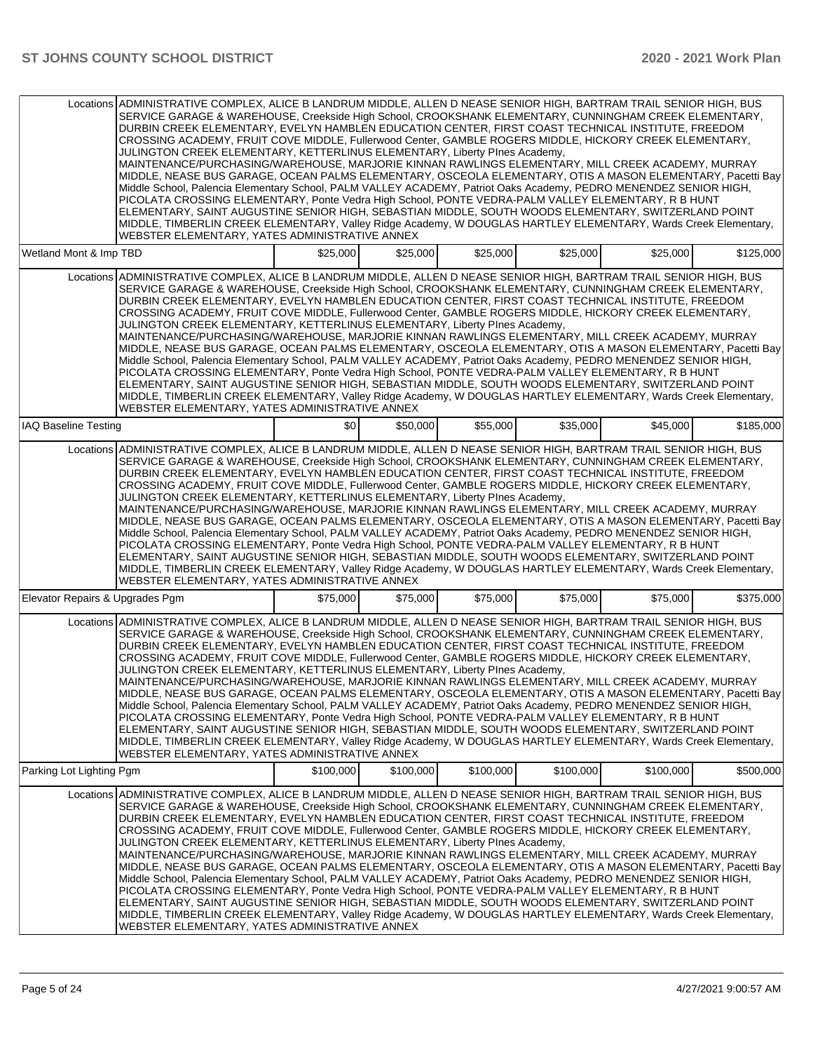|                                 | Locations ADMINISTRATIVE COMPLEX, ALICE B LANDRUM MIDDLE, ALLEN D NEASE SENIOR HIGH, BARTRAM TRAIL SENIOR HIGH, BUS<br>SERVICE GARAGE & WAREHOUSE, Creekside High School, CROOKSHANK ELEMENTARY, CUNNINGHAM CREEK ELEMENTARY,<br>DURBIN CREEK ELEMENTARY, EVELYN HAMBLEN EDUCATION CENTER, FIRST COAST TECHNICAL INSTITUTE, FREEDOM<br>CROSSING ACADEMY, FRUIT COVE MIDDLE, Fullerwood Center, GAMBLE ROGERS MIDDLE, HICKORY CREEK ELEMENTARY,<br>JULINGTON CREEK ELEMENTARY, KETTERLINUS ELEMENTARY, Liberty PInes Academy,<br>MAINTENANCE/PURCHASING/WAREHOUSE, MARJORIE KINNAN RAWLINGS ELEMENTARY, MILL CREEK ACADEMY, MURRAY<br>MIDDLE, NEASE BUS GARAGE, OCEAN PALMS ELEMENTARY, OSCEOLA ELEMENTARY, OTIS A MASON ELEMENTARY, Pacetti Bay<br>Middle School, Palencia Elementary School, PALM VALLEY ACADEMY, Patriot Oaks Academy, PEDRO MENENDEZ SENIOR HIGH,<br>PICOLATA CROSSING ELEMENTARY, Ponte Vedra High School, PONTE VEDRA-PALM VALLEY ELEMENTARY, R B HUNT<br>ELEMENTARY, SAINT AUGUSTINE SENIOR HIGH, SEBASTIAN MIDDLE, SOUTH WOODS ELEMENTARY, SWITZERLAND POINT<br>MIDDLE, TIMBERLIN CREEK ELEMENTARY, Valley Ridge Academy, W DOUGLAS HARTLEY ELEMENTARY, Wards Creek Elementary,<br>WEBSTER ELEMENTARY, YATES ADMINISTRATIVE ANNEX |           |           |           |           |           |           |
|---------------------------------|----------------------------------------------------------------------------------------------------------------------------------------------------------------------------------------------------------------------------------------------------------------------------------------------------------------------------------------------------------------------------------------------------------------------------------------------------------------------------------------------------------------------------------------------------------------------------------------------------------------------------------------------------------------------------------------------------------------------------------------------------------------------------------------------------------------------------------------------------------------------------------------------------------------------------------------------------------------------------------------------------------------------------------------------------------------------------------------------------------------------------------------------------------------------------------------------------------------------------------------------------------|-----------|-----------|-----------|-----------|-----------|-----------|
| Wetland Mont & Imp TBD          |                                                                                                                                                                                                                                                                                                                                                                                                                                                                                                                                                                                                                                                                                                                                                                                                                                                                                                                                                                                                                                                                                                                                                                                                                                                          | \$25,000  | \$25,000  | \$25,000  | \$25,000  | \$25,000  | \$125,000 |
|                                 | Locations ADMINISTRATIVE COMPLEX, ALICE B LANDRUM MIDDLE, ALLEN D NEASE SENIOR HIGH, BARTRAM TRAIL SENIOR HIGH, BUS<br>SERVICE GARAGE & WAREHOUSE, Creekside High School, CROOKSHANK ELEMENTARY, CUNNINGHAM CREEK ELEMENTARY,<br>DURBIN CREEK ELEMENTARY, EVELYN HAMBLEN EDUCATION CENTER, FIRST COAST TECHNICAL INSTITUTE, FREEDOM<br>CROSSING ACADEMY, FRUIT COVE MIDDLE, Fullerwood Center, GAMBLE ROGERS MIDDLE, HICKORY CREEK ELEMENTARY,<br>JULINGTON CREEK ELEMENTARY, KETTERLINUS ELEMENTARY, Liberty PInes Academy,<br>MAINTENANCE/PURCHASING/WAREHOUSE, MARJORIE KINNAN RAWLINGS ELEMENTARY, MILL CREEK ACADEMY, MURRAY<br>MIDDLE, NEASE BUS GARAGE, OCEAN PALMS ELEMENTARY, OSCEOLA ELEMENTARY, OTIS A MASON ELEMENTARY, Pacetti Bay<br>Middle School, Palencia Elementary School, PALM VALLEY ACADEMY, Patriot Oaks Academy, PEDRO MENENDEZ SENIOR HIGH,<br>PICOLATA CROSSING ELEMENTARY, Ponte Vedra High School, PONTE VEDRA-PALM VALLEY ELEMENTARY, R B HUNT<br>ELEMENTARY, SAINT AUGUSTINE SENIOR HIGH, SEBASTIAN MIDDLE, SOUTH WOODS ELEMENTARY, SWITZERLAND POINT<br>MIDDLE, TIMBERLIN CREEK ELEMENTARY, Valley Ridge Academy, W DOUGLAS HARTLEY ELEMENTARY, Wards Creek Elementary,<br>WEBSTER ELEMENTARY, YATES ADMINISTRATIVE ANNEX |           |           |           |           |           |           |
| <b>IAQ Baseline Testing</b>     |                                                                                                                                                                                                                                                                                                                                                                                                                                                                                                                                                                                                                                                                                                                                                                                                                                                                                                                                                                                                                                                                                                                                                                                                                                                          | \$0       | \$50,000  | \$55,000  | \$35,000  | \$45,000  | \$185,000 |
|                                 | Locations ADMINISTRATIVE COMPLEX, ALICE B LANDRUM MIDDLE, ALLEN D NEASE SENIOR HIGH, BARTRAM TRAIL SENIOR HIGH, BUS<br>SERVICE GARAGE & WAREHOUSE, Creekside High School, CROOKSHANK ELEMENTARY, CUNNINGHAM CREEK ELEMENTARY,<br>DURBIN CREEK ELEMENTARY, EVELYN HAMBLEN EDUCATION CENTER, FIRST COAST TECHNICAL INSTITUTE, FREEDOM<br>CROSSING ACADEMY, FRUIT COVE MIDDLE, Fullerwood Center, GAMBLE ROGERS MIDDLE, HICKORY CREEK ELEMENTARY,<br>JULINGTON CREEK ELEMENTARY, KETTERLINUS ELEMENTARY, Liberty PInes Academy,<br>MAINTENANCE/PURCHASING/WAREHOUSE, MARJORIE KINNAN RAWLINGS ELEMENTARY, MILL CREEK ACADEMY, MURRAY<br>MIDDLE, NEASE BUS GARAGE, OCEAN PALMS ELEMENTARY, OSCEOLA ELEMENTARY, OTIS A MASON ELEMENTARY, Pacetti Bay<br>Middle School, Palencia Elementary School, PALM VALLEY ACADEMY, Patriot Oaks Academy, PEDRO MENENDEZ SENIOR HIGH,<br>PICOLATA CROSSING ELEMENTARY, Ponte Vedra High School, PONTE VEDRA-PALM VALLEY ELEMENTARY, R B HUNT<br>ELEMENTARY, SAINT AUGUSTINE SENIOR HIGH, SEBASTIAN MIDDLE, SOUTH WOODS ELEMENTARY, SWITZERLAND POINT<br>MIDDLE, TIMBERLIN CREEK ELEMENTARY, Valley Ridge Academy, W DOUGLAS HARTLEY ELEMENTARY, Wards Creek Elementary,<br>WEBSTER ELEMENTARY, YATES ADMINISTRATIVE ANNEX |           |           |           |           |           |           |
| Elevator Repairs & Upgrades Pgm |                                                                                                                                                                                                                                                                                                                                                                                                                                                                                                                                                                                                                                                                                                                                                                                                                                                                                                                                                                                                                                                                                                                                                                                                                                                          | \$75,000  | \$75,000  | \$75,000  | \$75,000  | \$75,000  | \$375,000 |
|                                 | Locations ADMINISTRATIVE COMPLEX, ALICE B LANDRUM MIDDLE, ALLEN D NEASE SENIOR HIGH, BARTRAM TRAIL SENIOR HIGH, BUS<br>SERVICE GARAGE & WAREHOUSE, Creekside High School, CROOKSHANK ELEMENTARY, CUNNINGHAM CREEK ELEMENTARY,<br>DURBIN CREEK ELEMENTARY, EVELYN HAMBLEN EDUCATION CENTER, FIRST COAST TECHNICAL INSTITUTE, FREEDOM<br>CROSSING ACADEMY, FRUIT COVE MIDDLE, Fullerwood Center, GAMBLE ROGERS MIDDLE, HICKORY CREEK ELEMENTARY,<br>JULINGTON CREEK ELEMENTARY, KETTERLINUS ELEMENTARY, Liberty PInes Academy,<br>MAINTENANCE/PURCHASING/WAREHOUSE, MARJORIE KINNAN RAWLINGS ELEMENTARY, MILL CREEK ACADEMY, MURRAY<br>MIDDLE, NEASE BUS GARAGE, OCEAN PALMS ELEMENTARY, OSCEOLA ELEMENTARY, OTIS A MASON ELEMENTARY, Pacetti Bay<br>Middle School, Palencia Elementary School, PALM VALLEY ACADEMY, Patriot Oaks Academy, PEDRO MENENDEZ SENIOR HIGH,<br>PICOLATA CROSSING ELEMENTARY, Ponte Vedra High School, PONTE VEDRA-PALM VALLEY ELEMENTARY, R B HUNT<br>ELEMENTARY, SAINT AUGUSTINE SENIOR HIGH, SEBASTIAN MIDDLE, SOUTH WOODS ELEMENTARY, SWITZERLAND POINT<br>MIDDLE, TIMBERLIN CREEK ELEMENTARY, Valley Ridge Academy, W DOUGLAS HARTLEY ELEMENTARY, Wards Creek Elementary,<br>WEBSTER ELEMENTARY, YATES ADMINISTRATIVE ANNEX |           |           |           |           |           |           |
| Parking Lot Lighting Pgm        |                                                                                                                                                                                                                                                                                                                                                                                                                                                                                                                                                                                                                                                                                                                                                                                                                                                                                                                                                                                                                                                                                                                                                                                                                                                          | \$100,000 | \$100,000 | \$100,000 | \$100,000 | \$100,000 | \$500,000 |
|                                 | Locations ADMINISTRATIVE COMPLEX, ALICE B LANDRUM MIDDLE, ALLEN D NEASE SENIOR HIGH, BARTRAM TRAIL SENIOR HIGH, BUS<br>SERVICE GARAGE & WAREHOUSE, Creekside High School, CROOKSHANK ELEMENTARY, CUNNINGHAM CREEK ELEMENTARY,<br>DURBIN CREEK ELEMENTARY, EVELYN HAMBLEN EDUCATION CENTER, FIRST COAST TECHNICAL INSTITUTE, FREEDOM<br>CROSSING ACADEMY, FRUIT COVE MIDDLE, Fullerwood Center, GAMBLE ROGERS MIDDLE, HICKORY CREEK ELEMENTARY,<br>JULINGTON CREEK ELEMENTARY, KETTERLINUS ELEMENTARY, Liberty PInes Academy,<br>MAINTENANCE/PURCHASING/WAREHOUSE, MARJORIE KINNAN RAWLINGS ELEMENTARY, MILL CREEK ACADEMY, MURRAY<br>MIDDLE, NEASE BUS GARAGE, OCEAN PALMS ELEMENTARY, OSCEOLA ELEMENTARY, OTIS A MASON ELEMENTARY, Pacetti Bay<br>Middle School, Palencia Elementary School, PALM VALLEY ACADEMY, Patriot Oaks Academy, PEDRO MENENDEZ SENIOR HIGH,<br>PICOLATA CROSSING ELEMENTARY, Ponte Vedra High School, PONTE VEDRA-PALM VALLEY ELEMENTARY, R B HUNT<br>ELEMENTARY, SAINT AUGUSTINE SENIOR HIGH, SEBASTIAN MIDDLE, SOUTH WOODS ELEMENTARY, SWITZERLAND POINT<br>MIDDLE, TIMBERLIN CREEK ELEMENTARY, Valley Ridge Academy, W DOUGLAS HARTLEY ELEMENTARY, Wards Creek Elementary,<br>WEBSTER ELEMENTARY, YATES ADMINISTRATIVE ANNEX |           |           |           |           |           |           |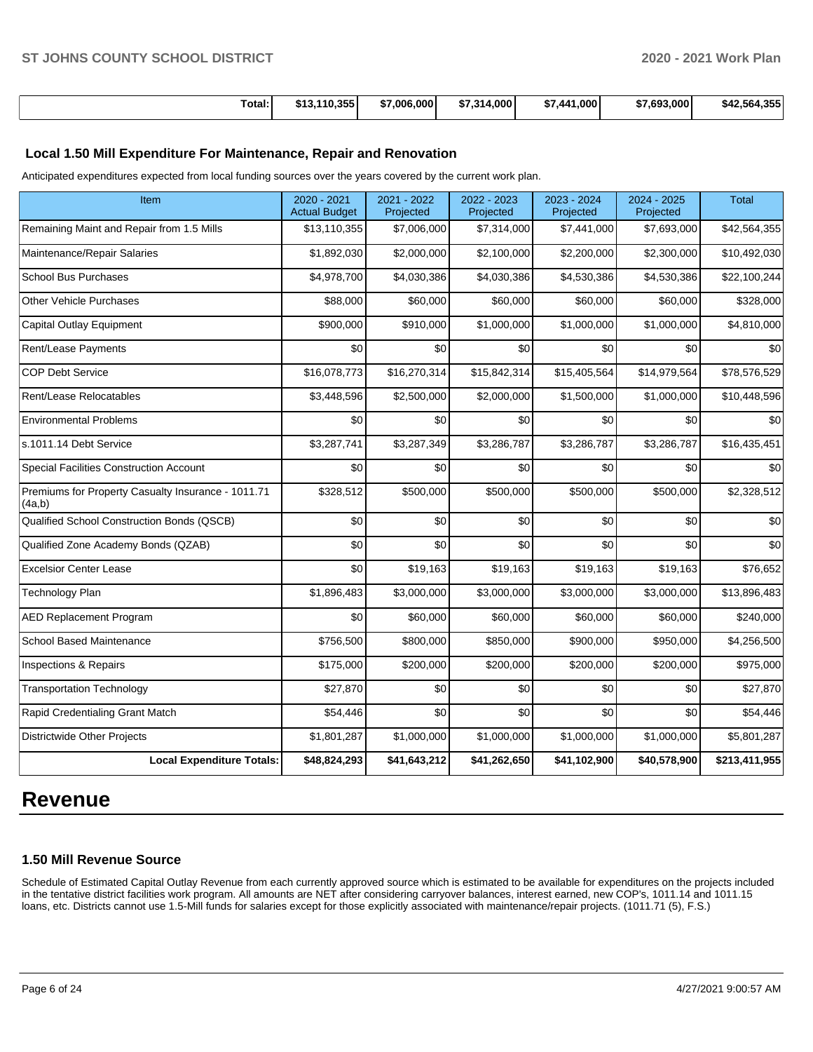| Total: | \$13.110.355 l<br>- 19. | \$7,006,000 | \$7,314,000 | \$7,441,000 | \$7.693.000 | \$42,564,355 |
|--------|-------------------------|-------------|-------------|-------------|-------------|--------------|

### **Local 1.50 Mill Expenditure For Maintenance, Repair and Renovation**

Anticipated expenditures expected from local funding sources over the years covered by the current work plan.

| Item                                                         | 2020 - 2021<br><b>Actual Budget</b> | 2021 - 2022<br>Projected | 2022 - 2023<br>Projected | 2023 - 2024<br>Projected | 2024 - 2025<br>Projected | <b>Total</b>  |
|--------------------------------------------------------------|-------------------------------------|--------------------------|--------------------------|--------------------------|--------------------------|---------------|
| Remaining Maint and Repair from 1.5 Mills                    | \$13,110,355                        | \$7,006,000              | \$7,314,000              | \$7,441,000              | \$7,693,000              | \$42,564,355  |
| Maintenance/Repair Salaries                                  | \$1,892,030                         | \$2,000,000              | \$2,100,000              | \$2,200,000              | \$2,300,000              | \$10,492,030  |
| <b>School Bus Purchases</b>                                  | \$4,978,700                         | \$4,030,386              | \$4,030,386              | \$4,530,386              | \$4,530,386              | \$22,100,244  |
| <b>Other Vehicle Purchases</b>                               | \$88,000                            | \$60,000                 | \$60,000                 | \$60,000                 | \$60,000                 | \$328,000     |
| Capital Outlay Equipment                                     | \$900,000                           | \$910,000                | \$1,000,000              | \$1,000,000              | \$1,000,000              | \$4,810,000   |
| Rent/Lease Payments                                          | \$0                                 | \$0                      | \$0                      | \$0                      | \$0                      | \$0           |
| <b>COP Debt Service</b>                                      | \$16,078,773                        | \$16,270,314             | \$15,842,314             | \$15,405,564             | \$14,979,564             | \$78,576,529  |
| Rent/Lease Relocatables                                      | \$3,448,596                         | \$2,500,000              | \$2,000,000              | \$1,500,000              | \$1,000,000              | \$10,448,596  |
| <b>Environmental Problems</b>                                | \$0                                 | \$0                      | \$0                      | \$0                      | \$0                      | \$0           |
| s.1011.14 Debt Service                                       | \$3,287,741                         | \$3,287,349              | \$3,286,787              | \$3,286,787              | \$3,286,787              | \$16,435,451  |
| <b>Special Facilities Construction Account</b>               | \$0                                 | \$0                      | \$0                      | \$0                      | \$0                      | \$0           |
| Premiums for Property Casualty Insurance - 1011.71<br>(4a,b) | \$328,512                           | \$500,000                | \$500,000                | \$500,000                | \$500,000                | \$2,328,512   |
| Qualified School Construction Bonds (QSCB)                   | \$0                                 | \$0                      | \$0                      | \$0                      | \$0                      | \$0           |
| Qualified Zone Academy Bonds (QZAB)                          | \$0                                 | \$0                      | \$0                      | \$0                      | \$0                      | \$0           |
| <b>Excelsior Center Lease</b>                                | \$0                                 | \$19,163                 | \$19,163                 | \$19,163                 | \$19,163                 | \$76,652      |
| <b>Technology Plan</b>                                       | \$1,896,483                         | \$3,000,000              | \$3,000,000              | \$3,000,000              | \$3,000,000              | \$13,896,483  |
| <b>AED Replacement Program</b>                               | \$0                                 | \$60,000                 | \$60,000                 | \$60,000                 | \$60,000                 | \$240,000     |
| <b>School Based Maintenance</b>                              | \$756,500                           | \$800,000                | \$850,000                | \$900,000                | \$950,000                | \$4,256,500   |
| Inspections & Repairs                                        | \$175,000                           | \$200,000                | \$200,000                | \$200,000                | \$200,000                | \$975,000     |
| <b>Transportation Technology</b>                             | \$27,870                            | \$0                      | \$0                      | \$0                      | \$0                      | \$27,870      |
| Rapid Credentialing Grant Match                              | \$54,446                            | \$0                      | \$0                      | \$0                      | \$0                      | \$54,446      |
| Districtwide Other Projects                                  | \$1,801,287                         | \$1,000,000              | \$1,000,000              | \$1,000,000              | \$1,000,000              | \$5,801,287   |
| <b>Local Expenditure Totals:</b>                             | \$48,824,293                        | \$41,643,212             | \$41,262,650             | \$41,102,900             | \$40,578,900             | \$213,411,955 |

# **Revenue**

### **1.50 Mill Revenue Source**

Schedule of Estimated Capital Outlay Revenue from each currently approved source which is estimated to be available for expenditures on the projects included in the tentative district facilities work program. All amounts are NET after considering carryover balances, interest earned, new COP's, 1011.14 and 1011.15 loans, etc. Districts cannot use 1.5-Mill funds for salaries except for those explicitly associated with maintenance/repair projects. (1011.71 (5), F.S.)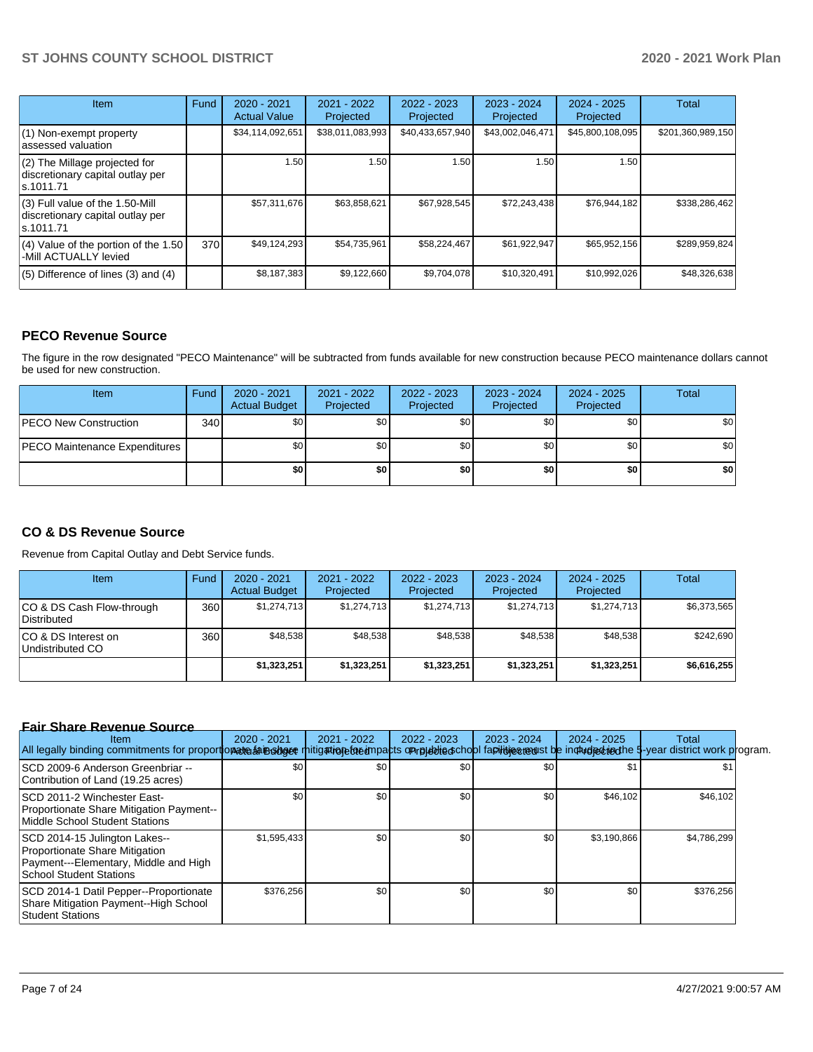| <b>Item</b>                                                                         | Fund | $2020 - 2021$<br><b>Actual Value</b> | $2021 - 2022$<br>Projected | $2022 - 2023$<br>Projected | $2023 - 2024$<br>Projected | $2024 - 2025$<br>Projected | Total             |
|-------------------------------------------------------------------------------------|------|--------------------------------------|----------------------------|----------------------------|----------------------------|----------------------------|-------------------|
| (1) Non-exempt property<br>lassessed valuation                                      |      | \$34,114,092,651                     | \$38,011,083,993           | \$40,433,657,940           | \$43,002,046,471           | \$45,800,108,095           | \$201,360,989,150 |
| (2) The Millage projected for<br>discretionary capital outlay per<br>ls.1011.71     |      | 1.50                                 | 1.50                       | 1.50                       | 1.50                       | 1.50                       |                   |
| $(3)$ Full value of the 1.50-Mill<br>discretionary capital outlay per<br>ls.1011.71 |      | \$57,311,676                         | \$63,858,621               | \$67,928,545               | \$72,243,438               | \$76,944,182               | \$338,286,462     |
| (4) Value of the portion of the 1.50<br>-Mill ACTUALLY levied                       | 370  | \$49,124,293                         | \$54,735,961               | \$58,224,467               | \$61,922,947               | \$65,952,156               | \$289,959,824     |
| $(5)$ Difference of lines $(3)$ and $(4)$                                           |      | \$8,187,383                          | \$9,122,660                | \$9,704,078                | \$10,320,491               | \$10,992,026               | \$48,326,638      |

### **PECO Revenue Source**

The figure in the row designated "PECO Maintenance" will be subtracted from funds available for new construction because PECO maintenance dollars cannot be used for new construction.

| Item                                 | Fund | $2020 - 2021$<br><b>Actual Budget</b> | 2021 - 2022<br>Projected | 2022 - 2023<br>Projected | 2023 - 2024<br>Projected | $2024 - 2025$<br>Projected | <b>Total</b>     |
|--------------------------------------|------|---------------------------------------|--------------------------|--------------------------|--------------------------|----------------------------|------------------|
| <b>IPECO New Construction</b>        | 340  | \$0                                   | \$0 <sub>1</sub>         | \$0                      | \$0                      | \$0                        | \$0 <sub>1</sub> |
| <b>PECO Maintenance Expenditures</b> |      | ا 30                                  | \$0                      | \$0                      | \$0 <sub>1</sub>         | \$0                        | \$0              |
|                                      |      | \$0                                   | \$0                      | \$0                      | \$0                      | \$0                        | \$0              |

## **CO & DS Revenue Source**

Revenue from Capital Outlay and Debt Service funds.

| Item                                      | Fund | $2020 - 2021$<br><b>Actual Budget</b> | 2021 - 2022<br>Projected | 2022 - 2023<br>Projected | $2023 - 2024$<br>Projected | $2024 - 2025$<br>Projected | Total       |
|-------------------------------------------|------|---------------------------------------|--------------------------|--------------------------|----------------------------|----------------------------|-------------|
| ICO & DS Cash Flow-through<br>Distributed | 360  | \$1.274.713                           | \$1,274,713              | \$1,274,713              | \$1,274,713                | \$1,274,713                | \$6.373.565 |
| ICO & DS Interest on<br>Undistributed CO  | 360  | \$48.538                              | \$48.538                 | \$48.538                 | \$48.538                   | \$48.538                   | \$242.690   |
|                                           |      | \$1,323,251                           | \$1,323,251              | \$1,323,251              | \$1,323,251                | \$1,323,251                | \$6,616,255 |

### **Fair Share Revenue Source**

| <b>Item</b><br>All legally binding commitments for proportionate abiastate mitigation to enrol by a mpublic school fapilities teust be induded teat of he 3-year district work program. | $2020 - 2021$    | 2021 - 2022 | $2022 - 2023$ | $2023 - 2024$ | $2024 - 2025$ | Total       |  |
|-----------------------------------------------------------------------------------------------------------------------------------------------------------------------------------------|------------------|-------------|---------------|---------------|---------------|-------------|--|
| ISCD 2009-6 Anderson Greenbriar --<br>Contribution of Land (19.25 acres)                                                                                                                | \$0 <sub>1</sub> | \$0         | \$0           | \$0           |               |             |  |
| ISCD 2011-2 Winchester East-<br>Proportionate Share Mitigation Payment--<br>Middle School Student Stations                                                                              | \$0              | \$0         | \$0           | \$0           | \$46,102      | \$46,102    |  |
| SCD 2014-15 Julington Lakes--<br>Proportionate Share Mitigation<br>Payment---Elementary, Middle and High<br>School Student Stations                                                     | \$1,595,433      | \$0         | \$0           | \$0           | \$3,190,866   | \$4.786.299 |  |
| SCD 2014-1 Datil Pepper--Proportionate<br>Share Mitigation Payment--High School<br><b>Student Stations</b>                                                                              | \$376,256        | \$0         | \$0           | \$0           | \$0           | \$376,256   |  |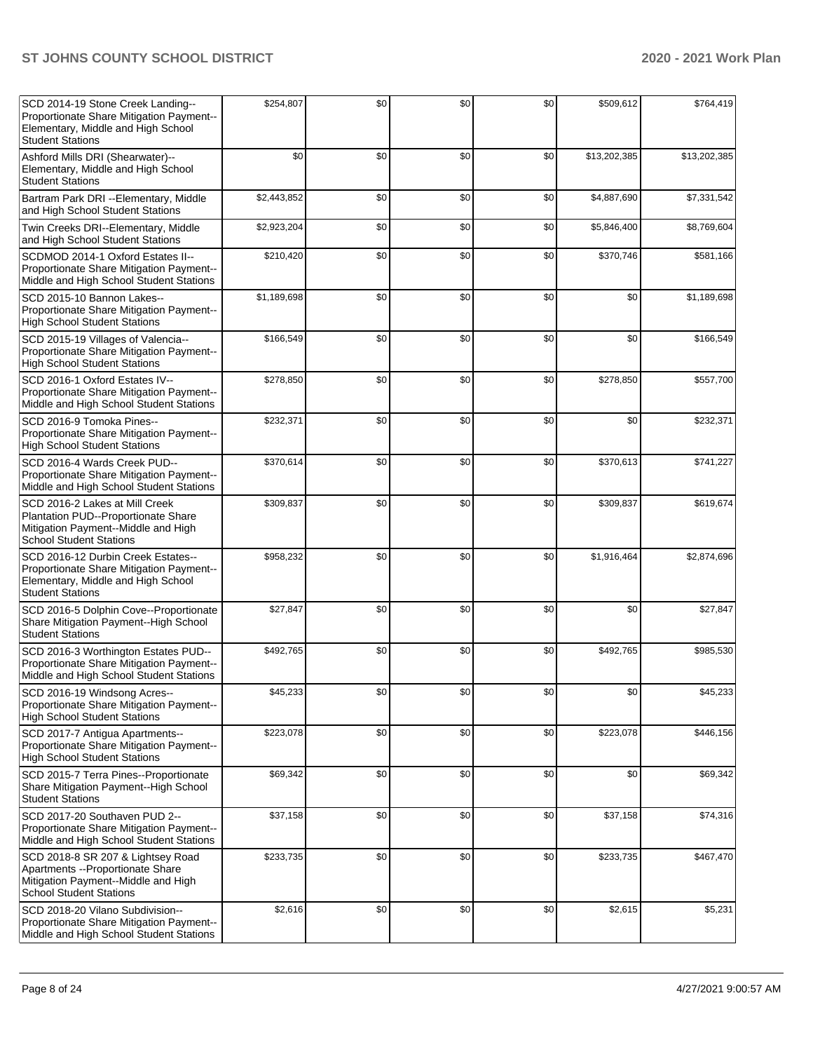| SCD 2014-19 Stone Creek Landing--<br>Proportionate Share Mitigation Payment--<br>Elementary, Middle and High School<br><b>Student Stations</b>  | \$254,807   | \$0 | \$0 | \$0 | \$509,612    | \$764,419    |
|-------------------------------------------------------------------------------------------------------------------------------------------------|-------------|-----|-----|-----|--------------|--------------|
| Ashford Mills DRI (Shearwater)--<br>Elementary, Middle and High School<br><b>Student Stations</b>                                               | \$0         | \$0 | \$0 | \$0 | \$13,202,385 | \$13,202,385 |
| Bartram Park DRI -- Elementary, Middle<br>and High School Student Stations                                                                      | \$2,443,852 | \$0 | \$0 | \$0 | \$4,887,690  | \$7,331,542  |
| Twin Creeks DRI--Elementary, Middle<br>and High School Student Stations                                                                         | \$2,923,204 | \$0 | \$0 | \$0 | \$5,846,400  | \$8,769,604  |
| SCDMOD 2014-1 Oxford Estates II--<br>Proportionate Share Mitigation Payment--<br>Middle and High School Student Stations                        | \$210,420   | \$0 | \$0 | \$0 | \$370,746    | \$581,166    |
| SCD 2015-10 Bannon Lakes--<br>Proportionate Share Mitigation Payment--<br><b>High School Student Stations</b>                                   | \$1,189,698 | \$0 | \$0 | \$0 | \$0          | \$1,189,698  |
| SCD 2015-19 Villages of Valencia--<br>Proportionate Share Mitigation Payment--<br><b>High School Student Stations</b>                           | \$166,549   | \$0 | \$0 | \$0 | \$0          | \$166,549    |
| SCD 2016-1 Oxford Estates IV--<br>Proportionate Share Mitigation Payment--<br>Middle and High School Student Stations                           | \$278,850   | \$0 | \$0 | \$0 | \$278,850    | \$557,700    |
| SCD 2016-9 Tomoka Pines--<br>Proportionate Share Mitigation Payment--<br><b>High School Student Stations</b>                                    | \$232,371   | \$0 | \$0 | \$0 | \$0          | \$232,371    |
| SCD 2016-4 Wards Creek PUD--<br>Proportionate Share Mitigation Payment--<br>Middle and High School Student Stations                             | \$370,614   | \$0 | \$0 | \$0 | \$370,613    | \$741,227    |
| SCD 2016-2 Lakes at Mill Creek<br>Plantation PUD--Proportionate Share<br>Mitigation Payment--Middle and High<br><b>School Student Stations</b>  | \$309,837   | \$0 | \$0 | \$0 | \$309,837    | \$619,674    |
| SCD 2016-12 Durbin Creek Estates--<br>Proportionate Share Mitigation Payment--<br>Elementary, Middle and High School<br><b>Student Stations</b> | \$958,232   | \$0 | \$0 | \$0 | \$1,916,464  | \$2,874,696  |
| SCD 2016-5 Dolphin Cove--Proportionate<br>Share Mitigation Payment--High School<br><b>Student Stations</b>                                      | \$27,847    | \$0 | \$0 | \$0 | \$0          | \$27,847     |
| SCD 2016-3 Worthington Estates PUD--<br>Proportionate Share Mitigation Payment--<br>Middle and High School Student Stations                     | \$492,765   | \$0 | \$0 | \$0 | \$492,765    | \$985,530    |
| SCD 2016-19 Windsong Acres--<br>Proportionate Share Mitigation Payment--<br><b>High School Student Stations</b>                                 | \$45,233    | \$0 | \$0 | \$0 | \$0          | \$45,233     |
| SCD 2017-7 Antigua Apartments--<br>Proportionate Share Mitigation Payment--<br><b>High School Student Stations</b>                              | \$223,078   | \$0 | \$0 | \$0 | \$223,078    | \$446,156    |
| SCD 2015-7 Terra Pines--Proportionate<br>Share Mitigation Payment--High School<br><b>Student Stations</b>                                       | \$69,342    | \$0 | \$0 | \$0 | \$0          | \$69,342     |
| SCD 2017-20 Southaven PUD 2--<br>Proportionate Share Mitigation Payment--<br>Middle and High School Student Stations                            | \$37,158    | \$0 | \$0 | \$0 | \$37,158     | \$74,316     |
| SCD 2018-8 SR 207 & Lightsey Road<br>Apartments -- Proportionate Share<br>Mitigation Payment--Middle and High<br><b>School Student Stations</b> | \$233,735   | \$0 | \$0 | \$0 | \$233,735    | \$467,470    |
| SCD 2018-20 Vilano Subdivision--<br>Proportionate Share Mitigation Payment--<br>Middle and High School Student Stations                         | \$2,616     | \$0 | \$0 | \$0 | \$2,615      | \$5,231      |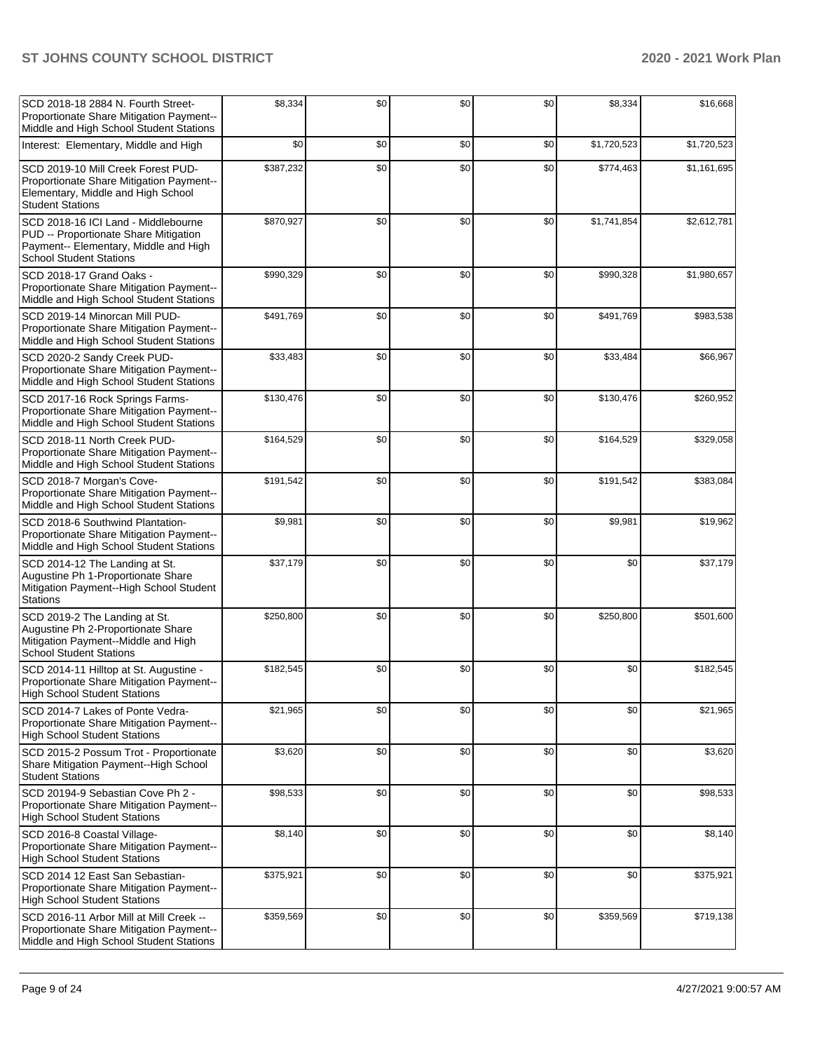| SCD 2018-18 2884 N. Fourth Street-<br>Proportionate Share Mitigation Payment--<br>Middle and High School Student Stations                               | \$8,334   | \$0 | \$0 | \$0 | \$8,334     | \$16,668    |
|---------------------------------------------------------------------------------------------------------------------------------------------------------|-----------|-----|-----|-----|-------------|-------------|
| Interest: Elementary, Middle and High                                                                                                                   | \$0       | \$0 | \$0 | \$0 | \$1,720,523 | \$1,720,523 |
| SCD 2019-10 Mill Creek Forest PUD-<br>Proportionate Share Mitigation Payment--<br>Elementary, Middle and High School<br><b>Student Stations</b>         | \$387,232 | \$0 | \$0 | \$0 | \$774,463   | \$1,161,695 |
| SCD 2018-16 ICI Land - Middlebourne<br>PUD -- Proportionate Share Mitigation<br>Payment-- Elementary, Middle and High<br><b>School Student Stations</b> | \$870,927 | \$0 | \$0 | \$0 | \$1,741,854 | \$2,612,781 |
| SCD 2018-17 Grand Oaks -<br>Proportionate Share Mitigation Payment--<br>Middle and High School Student Stations                                         | \$990,329 | \$0 | \$0 | \$0 | \$990,328   | \$1,980,657 |
| SCD 2019-14 Minorcan Mill PUD-<br>Proportionate Share Mitigation Payment--<br>Middle and High School Student Stations                                   | \$491,769 | \$0 | \$0 | \$0 | \$491,769   | \$983,538   |
| SCD 2020-2 Sandy Creek PUD-<br>Proportionate Share Mitigation Payment--<br>Middle and High School Student Stations                                      | \$33,483  | \$0 | \$0 | \$0 | \$33,484    | \$66,967    |
| SCD 2017-16 Rock Springs Farms-<br>Proportionate Share Mitigation Payment--<br>Middle and High School Student Stations                                  | \$130,476 | \$0 | \$0 | \$0 | \$130,476   | \$260,952   |
| SCD 2018-11 North Creek PUD-<br>Proportionate Share Mitigation Payment--<br>Middle and High School Student Stations                                     | \$164,529 | \$0 | \$0 | \$0 | \$164,529   | \$329,058   |
| SCD 2018-7 Morgan's Cove-<br>Proportionate Share Mitigation Payment--<br>Middle and High School Student Stations                                        | \$191,542 | \$0 | \$0 | \$0 | \$191,542   | \$383,084   |
| SCD 2018-6 Southwind Plantation-<br>Proportionate Share Mitigation Payment--<br>Middle and High School Student Stations                                 | \$9,981   | \$0 | \$0 | \$0 | \$9,981     | \$19,962    |
| SCD 2014-12 The Landing at St.<br>Augustine Ph 1-Proportionate Share<br>Mitigation Payment--High School Student<br>Stations                             | \$37,179  | \$0 | \$0 | \$0 | \$0         | \$37,179    |
| SCD 2019-2 The Landing at St.<br>Augustine Ph 2-Proportionate Share<br>Mitigation Payment--Middle and High<br><b>School Student Stations</b>            | \$250,800 | \$0 | \$0 | \$0 | \$250,800   | \$501,600   |
| SCD 2014-11 Hilltop at St. Augustine -<br>Proportionate Share Mitigation Payment--<br>High School Student Stations                                      | \$182,545 | \$0 | \$0 | \$0 | \$0         | \$182,545   |
| SCD 2014-7 Lakes of Ponte Vedra-<br>Proportionate Share Mitigation Payment--<br><b>High School Student Stations</b>                                     | \$21,965  | \$0 | \$0 | \$0 | \$0         | \$21,965    |
| SCD 2015-2 Possum Trot - Proportionate<br>Share Mitigation Payment--High School<br><b>Student Stations</b>                                              | \$3,620   | \$0 | \$0 | \$0 | \$0         | \$3,620     |
| SCD 20194-9 Sebastian Cove Ph 2 -<br>Proportionate Share Mitigation Payment--<br><b>High School Student Stations</b>                                    | \$98,533  | \$0 | \$0 | \$0 | \$0         | \$98,533    |
| SCD 2016-8 Coastal Village-<br>Proportionate Share Mitigation Payment--<br><b>High School Student Stations</b>                                          | \$8,140   | \$0 | \$0 | \$0 | \$0         | \$8,140     |
| SCD 2014 12 East San Sebastian-<br>Proportionate Share Mitigation Payment--<br><b>High School Student Stations</b>                                      | \$375,921 | \$0 | \$0 | \$0 | \$0         | \$375,921   |
| SCD 2016-11 Arbor Mill at Mill Creek --<br>Proportionate Share Mitigation Payment--<br>Middle and High School Student Stations                          | \$359,569 | \$0 | \$0 | \$0 | \$359,569   | \$719,138   |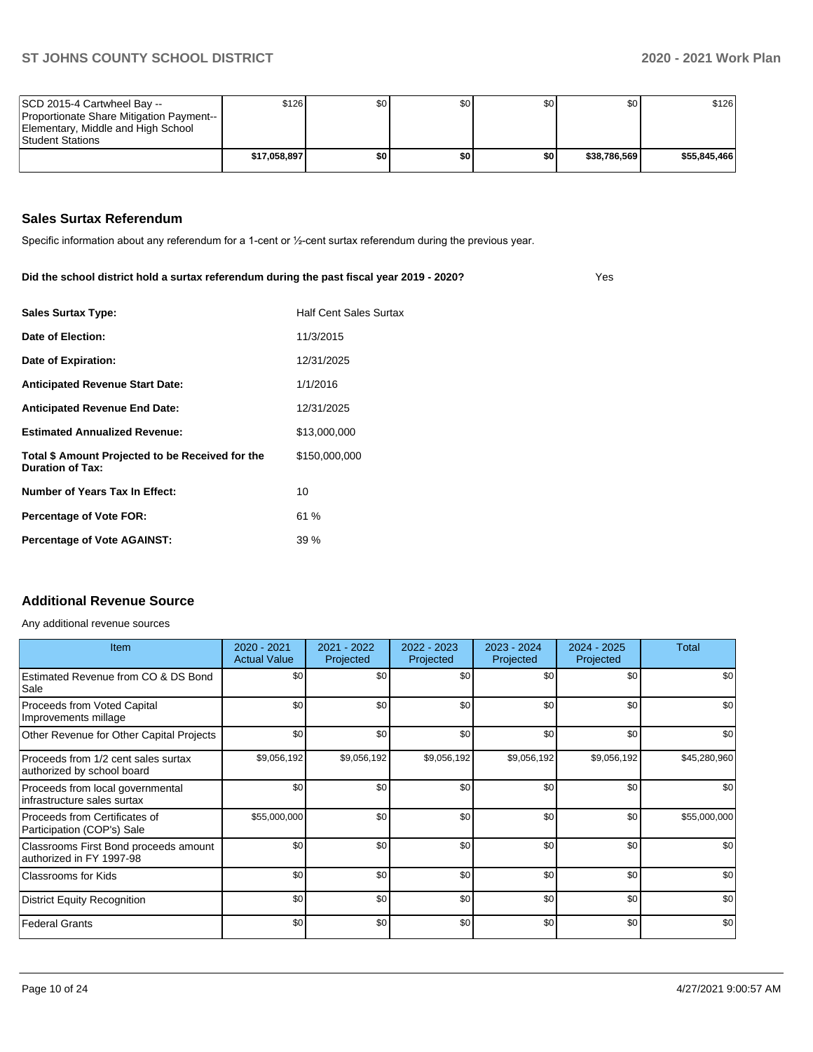Yes

| SCD 2015-4 Cartwheel Bay --              | \$126        | \$0 | \$0 | \$0 <sub>1</sub> | \$0          | \$126        |
|------------------------------------------|--------------|-----|-----|------------------|--------------|--------------|
| Proportionate Share Mitigation Payment-- |              |     |     |                  |              |              |
| Elementary, Middle and High School       |              |     |     |                  |              |              |
| <b>Student Stations</b>                  |              |     |     |                  |              |              |
|                                          | \$17,058,897 | \$0 | \$0 | \$O I            | \$38.786.569 | \$55,845,466 |
|                                          |              |     |     |                  |              |              |

### **Sales Surtax Referendum**

Specific information about any referendum for a 1-cent or ½-cent surtax referendum during the previous year.

| Did the school district hold a surtax referendum during the past fiscal year 2019 - 2020? |                               |
|-------------------------------------------------------------------------------------------|-------------------------------|
| <b>Sales Surtax Type:</b>                                                                 | <b>Half Cent Sales Surtax</b> |
| Date of Election:                                                                         | 11/3/2015                     |
| Date of Expiration:                                                                       | 12/31/2025                    |
| <b>Anticipated Revenue Start Date:</b>                                                    | 1/1/2016                      |
| <b>Anticipated Revenue End Date:</b>                                                      | 12/31/2025                    |
| <b>Estimated Annualized Revenue:</b>                                                      | \$13,000,000                  |
| Total \$ Amount Projected to be Received for the<br><b>Duration of Tax:</b>               | \$150,000,000                 |
| Number of Years Tax In Effect:                                                            | 10                            |
| <b>Percentage of Vote FOR:</b>                                                            | 61%                           |
| <b>Percentage of Vote AGAINST:</b>                                                        | 39 %                          |
|                                                                                           |                               |

# **Additional Revenue Source**

Any additional revenue sources

| <b>Item</b>                                                       | $2020 - 2021$<br><b>Actual Value</b> | 2021 - 2022<br>Projected | 2022 - 2023<br>Projected | $2023 - 2024$<br>Projected | $2024 - 2025$<br>Projected | Total        |
|-------------------------------------------------------------------|--------------------------------------|--------------------------|--------------------------|----------------------------|----------------------------|--------------|
| Estimated Revenue from CO & DS Bond<br>Sale                       | \$0                                  | \$0                      | \$0                      | \$0                        | \$0                        | \$0          |
| Proceeds from Voted Capital<br>Improvements millage               | \$0                                  | \$0                      | \$0                      | \$0                        | \$0                        | \$0          |
| Other Revenue for Other Capital Projects                          | \$0                                  | \$0                      | \$0                      | \$0                        | \$0                        | \$0          |
| Proceeds from 1/2 cent sales surtax<br>authorized by school board | \$9,056,192                          | \$9,056,192              | \$9,056,192              | \$9,056,192                | \$9,056,192                | \$45,280,960 |
| Proceeds from local governmental<br>infrastructure sales surtax   | \$0                                  | \$0                      | \$0                      | \$0                        | \$0                        | \$0          |
| Proceeds from Certificates of<br>Participation (COP's) Sale       | \$55,000,000                         | \$0                      | \$0                      | \$0                        | \$0                        | \$55,000,000 |
| Classrooms First Bond proceeds amount<br>authorized in FY 1997-98 | \$0                                  | \$0                      | \$0                      | \$0                        | \$0                        | \$0          |
| <b>Classrooms for Kids</b>                                        | \$0                                  | \$0                      | \$0                      | \$0                        | \$0                        | \$0          |
| District Equity Recognition                                       | \$0                                  | \$0                      | \$0                      | \$0                        | \$0                        | \$0          |
| <b>Federal Grants</b>                                             | \$0                                  | \$0                      | \$0                      | \$0                        | \$0                        | \$0          |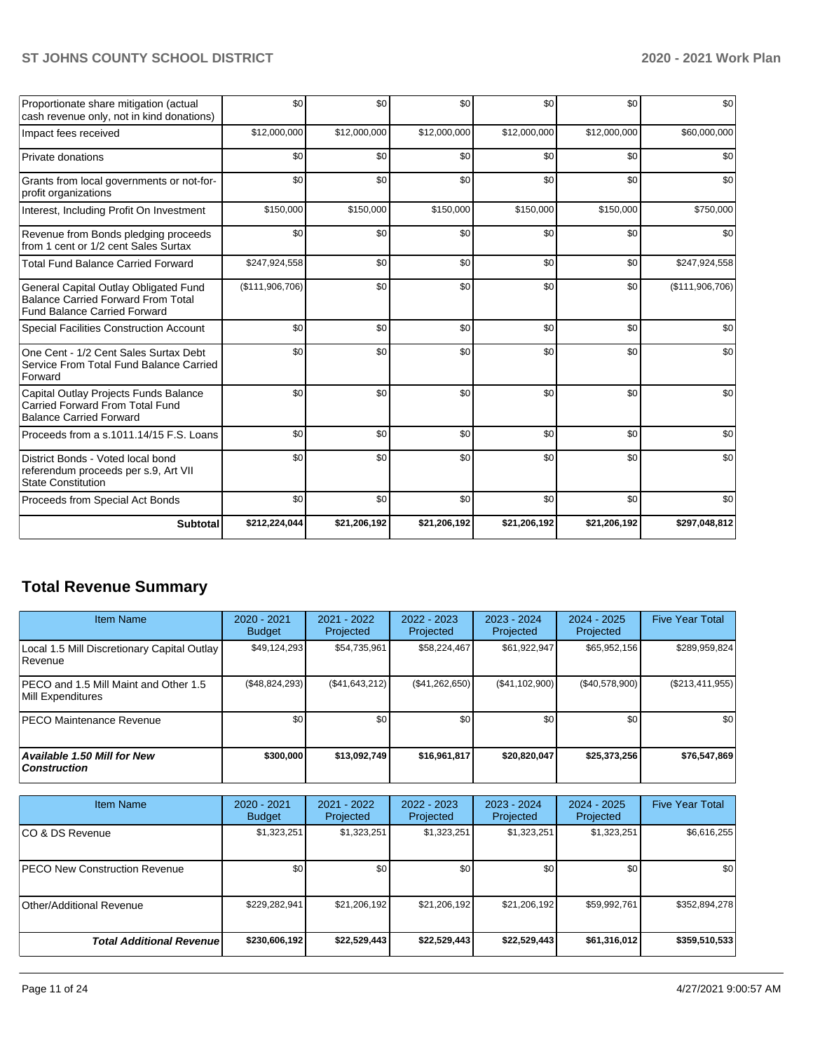| Proportionate share mitigation (actual<br>cash revenue only, not in kind donations)                                       | \$0             | \$0          | \$0          | \$0          | \$0          | \$0             |
|---------------------------------------------------------------------------------------------------------------------------|-----------------|--------------|--------------|--------------|--------------|-----------------|
| Impact fees received                                                                                                      | \$12,000,000    | \$12,000,000 | \$12,000,000 | \$12,000,000 | \$12,000,000 | \$60,000,000    |
| Private donations                                                                                                         | \$0             | \$0          | \$0          | \$0          | \$0          | \$0             |
| Grants from local governments or not-for-<br>profit organizations                                                         | \$0             | \$0          | \$0          | \$0          | \$0          | \$0             |
| Interest, Including Profit On Investment                                                                                  | \$150,000       | \$150,000    | \$150,000    | \$150,000    | \$150,000    | \$750,000       |
| Revenue from Bonds pledging proceeds<br>from 1 cent or 1/2 cent Sales Surtax                                              | \$0             | \$0          | \$0          | \$0          | \$0          | \$0             |
| <b>Total Fund Balance Carried Forward</b>                                                                                 | \$247,924,558   | \$0          | \$0          | \$0          | \$0          | \$247,924,558   |
| General Capital Outlay Obligated Fund<br><b>Balance Carried Forward From Total</b><br><b>Fund Balance Carried Forward</b> | (\$111,906,706) | \$0          | \$0          | \$0          | \$0          | (\$111,906,706) |
| <b>Special Facilities Construction Account</b>                                                                            | \$0             | \$0          | \$0          | \$0          | \$0          | \$0             |
| One Cent - 1/2 Cent Sales Surtax Debt<br>Service From Total Fund Balance Carried<br>Forward                               | \$0             | \$0          | \$0          | \$0          | \$0          | \$0             |
| Capital Outlay Projects Funds Balance<br>Carried Forward From Total Fund<br><b>Balance Carried Forward</b>                | \$0             | \$0          | \$0          | \$0          | \$0          | \$0             |
| Proceeds from a s.1011.14/15 F.S. Loans                                                                                   | \$0             | \$0          | \$0          | \$0          | \$0          | \$0             |
| District Bonds - Voted local bond<br>referendum proceeds per s.9, Art VII<br><b>State Constitution</b>                    | \$0             | \$0          | \$0          | \$0          | \$0          | \$0             |
| Proceeds from Special Act Bonds                                                                                           | \$0             | \$0          | \$0          | \$0          | \$0          | \$0             |
| Subtotal                                                                                                                  | \$212,224,044   | \$21,206,192 | \$21,206,192 | \$21,206,192 | \$21,206,192 | \$297,048,812   |

# **Total Revenue Summary**

| <b>Item Name</b>                                            | $2020 - 2021$<br><b>Budget</b> | $2021 - 2022$<br>Projected | 2022 - 2023<br>Projected | $2023 - 2024$<br>Projected | 2024 - 2025<br>Projected | <b>Five Year Total</b> |
|-------------------------------------------------------------|--------------------------------|----------------------------|--------------------------|----------------------------|--------------------------|------------------------|
| Local 1.5 Mill Discretionary Capital Outlay<br>l Revenue    | \$49,124,293                   | \$54,735,961               | \$58,224,467             | \$61,922,947               | \$65,952,156             | \$289,959,824          |
| IPECO and 1.5 Mill Maint and Other 1.5<br>Mill Expenditures | (\$48,824,293)                 | (\$41,643,212)             | (\$41,262,650)           | (\$41,102,900)             | (\$40,578,900)           | $(\$213,411,955)$      |
| IPECO Maintenance Revenue                                   | \$0                            | \$0 <sub>1</sub>           | \$0                      | \$0                        | \$0                      | \$0                    |
| Available 1.50 Mill for New<br><b>Construction</b>          | \$300,000                      | \$13.092.749               | \$16,961,817             | \$20,820,047               | \$25,373,256             | \$76,547,869           |

| <b>Item Name</b>                     | 2020 - 2021<br><b>Budget</b> | 2021 - 2022<br>Projected | 2022 - 2023<br>Projected | $2023 - 2024$<br>Projected | 2024 - 2025<br>Projected | <b>Five Year Total</b> |
|--------------------------------------|------------------------------|--------------------------|--------------------------|----------------------------|--------------------------|------------------------|
| ICO & DS Revenue                     | \$1,323,251                  | \$1,323,251              | \$1,323,251              | \$1,323,251                | \$1,323,251              | \$6,616,255            |
| <b>PECO New Construction Revenue</b> | \$0 <sub>1</sub>             | \$0 <sub>1</sub>         | \$0                      | \$0                        | \$0                      | \$0                    |
| Other/Additional Revenue             | \$229,282,941                | \$21,206,192             | \$21,206,192             | \$21,206,192               | \$59,992,761             | \$352,894,278          |
| <b>Total Additional Revenuel</b>     | \$230,606,192                | \$22,529,443             | \$22,529,443             | \$22,529,443               | \$61,316,012             | \$359,510,533          |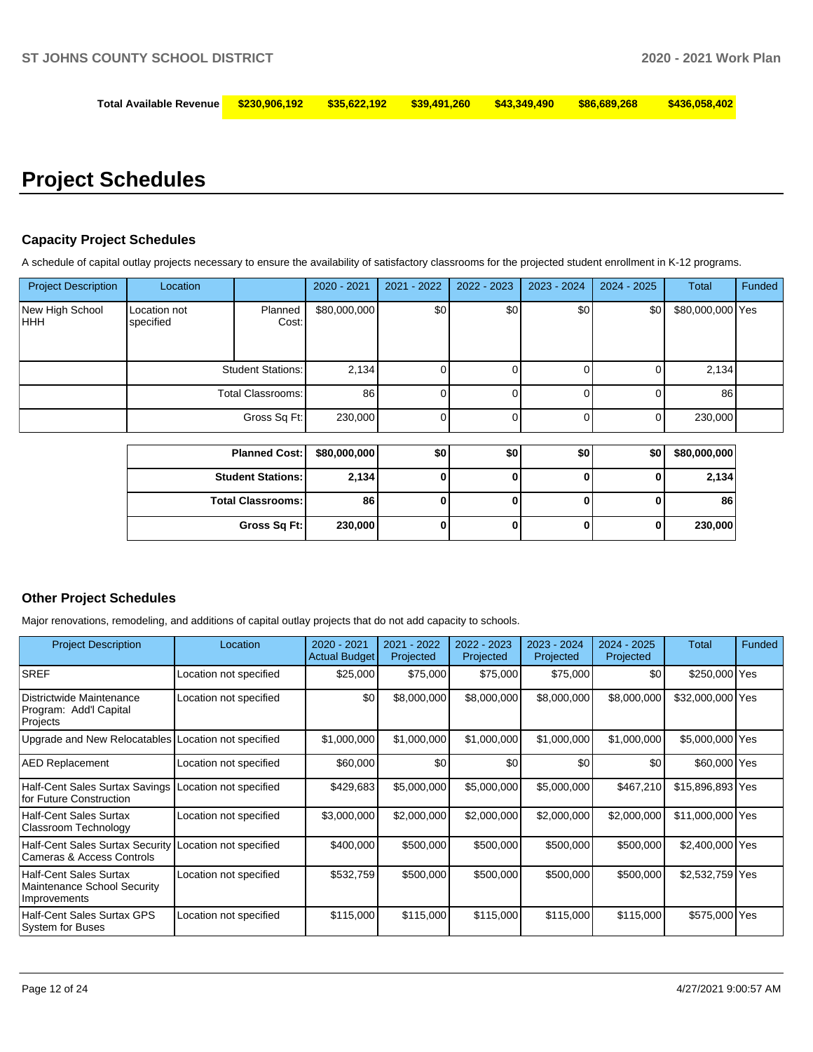| Total Available Revenue  \$230,906,192   \$35,622,192   \$39,491,260   \$43,349,490   \$86,689,268    \$436,058,402 |  |  |  |  |  |  |  |
|---------------------------------------------------------------------------------------------------------------------|--|--|--|--|--|--|--|
|---------------------------------------------------------------------------------------------------------------------|--|--|--|--|--|--|--|

# **Project Schedules**

### **Capacity Project Schedules**

A schedule of capital outlay projects necessary to ensure the availability of satisfactory classrooms for the projected student enrollment in K-12 programs.

| Funded | <b>Total</b>     | $2024 - 2025$ | $2023 - 2024$ | 2022 - 2023 | 2021 - 2022 | 2020 - 2021  |                          | Location                  | <b>Project Description</b> |
|--------|------------------|---------------|---------------|-------------|-------------|--------------|--------------------------|---------------------------|----------------------------|
|        | \$80,000,000 Yes | \$0           | \$0           | \$0         | \$0         | \$80,000,000 | Planned<br>Cost:         | Location not<br>specified | New High School<br>HHH     |
|        | 2,134            |               |               | 01          |             | 2,134        | <b>Student Stations:</b> |                           |                            |
|        | 86               |               |               |             |             | 86           | <b>Total Classrooms:</b> |                           |                            |
|        | 230,000          |               |               | 01          |             | 230,000      | Gross Sq Ft:             |                           |                            |
|        | \$80,000,000     | \$0 l         | \$0           | \$O I       | \$0         | \$80,000,000 | <b>Planned Cost:</b>     |                           |                            |

| Planned Cost:   \$80,000,000 |         | \$0 | \$0 | \$0 | \$0 <sub>1</sub> | \$80,000,000 |
|------------------------------|---------|-----|-----|-----|------------------|--------------|
| <b>Student Stations:</b>     | 2,134   |     |     |     |                  | 2,134        |
| <b>Total Classrooms:</b>     | 86      |     |     |     |                  | 86           |
| Gross Sq Ft:                 | 230,000 |     |     |     |                  | 230,000      |

### **Other Project Schedules**

Major renovations, remodeling, and additions of capital outlay projects that do not add capacity to schools.

| <b>Project Description</b>                                                   | Location               | 2020 - 2021<br><b>Actual Budget</b> | $-2022$<br>2021<br>Projected | 2022 - 2023<br>Projected | 2023 - 2024<br>Projected | 2024 - 2025<br>Projected | Total            | Funded |
|------------------------------------------------------------------------------|------------------------|-------------------------------------|------------------------------|--------------------------|--------------------------|--------------------------|------------------|--------|
| <b>SREF</b>                                                                  | Location not specified | \$25,000                            | \$75,000                     | \$75,000                 | \$75,000                 | \$0                      | \$250,000 Yes    |        |
| Districtwide Maintenance<br>Program: Add'l Capital<br>Projects               | Location not specified | \$0                                 | \$8,000,000                  | \$8,000,000              | \$8,000,000              | \$8,000,000              | \$32,000,000 Yes |        |
| Upgrade and New Relocatables Location not specified                          |                        | \$1,000,000                         | \$1,000,000                  | \$1,000,000              | \$1,000,000              | \$1,000,000              | \$5,000,000 Yes  |        |
| <b>AED Replacement</b>                                                       | Location not specified | \$60,000                            | \$0                          | \$0                      | \$0                      | \$0                      | \$60,000 Yes     |        |
| Half-Cent Sales Surtax Savings<br>for Future Construction                    | Location not specified | \$429,683                           | \$5,000,000                  | \$5,000,000              | \$5,000,000              | \$467,210                | \$15,896,893 Yes |        |
| <b>Half-Cent Sales Surtax</b><br>Classroom Technology                        | Location not specified | \$3,000,000                         | \$2,000,000                  | \$2,000,000              | \$2,000,000              | \$2,000,000              | \$11,000,000 Yes |        |
| <b>Half-Cent Sales Surtax Security</b><br>Cameras & Access Controls          | Location not specified | \$400,000                           | \$500,000                    | \$500,000                | \$500,000                | \$500,000                | \$2,400,000 Yes  |        |
| <b>Half-Cent Sales Surtax</b><br>Maintenance School Security<br>Improvements | Location not specified | \$532,759                           | \$500,000                    | \$500,000                | \$500,000                | \$500,000                | \$2,532,759 Yes  |        |
| <b>Half-Cent Sales Surtax GPS</b><br>System for Buses                        | Location not specified | \$115,000                           | \$115,000                    | \$115,000                | \$115,000                | \$115,000                | \$575,000 Yes    |        |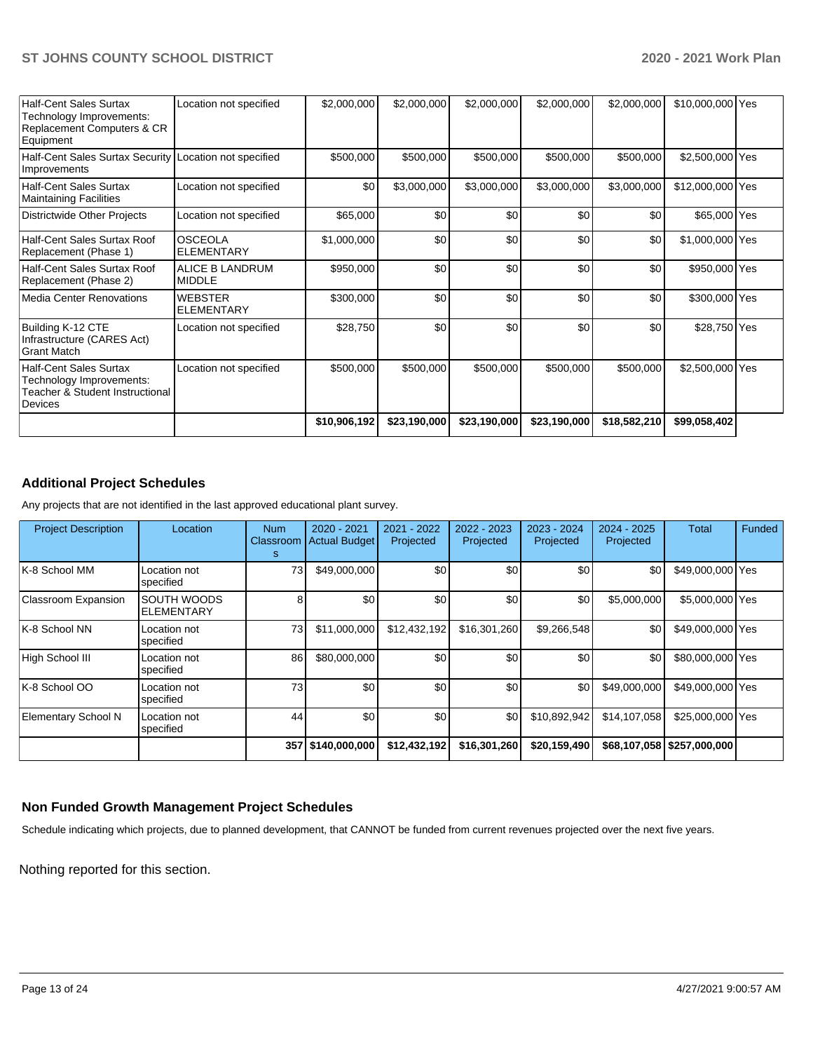| <b>Half-Cent Sales Surtax</b><br>Technology Improvements:<br>Replacement Computers & CR<br>Equipment    | Location not specified              | \$2,000,000  | \$2,000,000  | \$2,000,000  | \$2,000,000  | \$2,000,000  | \$10,000,000 Yes |  |
|---------------------------------------------------------------------------------------------------------|-------------------------------------|--------------|--------------|--------------|--------------|--------------|------------------|--|
| Half-Cent Sales Surtax Security Location not specified<br>Improvements                                  |                                     | \$500,000    | \$500,000    | \$500,000    | \$500,000    | \$500,000    | \$2,500,000 Yes  |  |
| <b>Half-Cent Sales Surtax</b><br><b>Maintaining Facilities</b>                                          | Location not specified              | \$0          | \$3,000,000  | \$3,000,000  | \$3,000,000  | \$3,000,000  | \$12,000,000 Yes |  |
| Districtwide Other Projects                                                                             | Location not specified              | \$65,000     | \$0          | \$0          | \$0          | \$0          | \$65,000 Yes     |  |
| Half-Cent Sales Surtax Roof<br>Replacement (Phase 1)                                                    | <b>OSCEOLA</b><br><b>ELEMENTARY</b> | \$1,000,000  | \$0          | \$0          | \$0          | \$0          | \$1,000,000 Yes  |  |
| Half-Cent Sales Surtax Roof<br>Replacement (Phase 2)                                                    | ALICE B LANDRUM<br><b>MIDDLE</b>    | \$950,000    | \$0          | \$0          | \$0          | \$0          | \$950,000 Yes    |  |
| <b>Media Center Renovations</b>                                                                         | <b>WEBSTER</b><br><b>ELEMENTARY</b> | \$300,000    | \$0          | \$0          | \$0          | \$0          | \$300,000 Yes    |  |
| Building K-12 CTE<br>Infrastructure (CARES Act)<br><b>Grant Match</b>                                   | Location not specified              | \$28,750     | \$0          | \$0          | \$0          | \$0          | \$28,750 Yes     |  |
| <b>Half-Cent Sales Surtax</b><br>Technology Improvements:<br>Teacher & Student Instructional<br>Devices | Location not specified              | \$500,000    | \$500,000    | \$500,000    | \$500,000    | \$500,000    | \$2,500,000 Yes  |  |
|                                                                                                         |                                     | \$10,906,192 | \$23,190,000 | \$23,190,000 | \$23,190,000 | \$18,582,210 | \$99,058,402     |  |

# **Additional Project Schedules**

Any projects that are not identified in the last approved educational plant survey.

| <b>Project Description</b> | Location                                | <b>Num</b><br>Classroom | 2020 - 2021<br><b>Actual Budget</b> | 2021 - 2022<br>Projected | 2022 - 2023<br>Projected | $2023 - 2024$<br>Projected | $2024 - 2025$<br>Projected | Total                        | Funded |
|----------------------------|-----------------------------------------|-------------------------|-------------------------------------|--------------------------|--------------------------|----------------------------|----------------------------|------------------------------|--------|
| K-8 School MM              | Location not<br>specified               | 73                      | \$49,000,000                        | \$0                      | \$0                      | \$0 <sub>1</sub>           | \$0                        | \$49,000,000 Yes             |        |
| Classroom Expansion        | <b>SOUTH WOODS</b><br><b>ELEMENTARY</b> | 8                       | \$0                                 | \$0                      | \$0                      | \$0                        | \$5,000,000                | \$5,000,000 Yes              |        |
| K-8 School NN              | Location not<br>specified               | 73                      | \$11.000.000                        | \$12,432,192             | \$16,301,260             | \$9,266,548                | \$0                        | \$49,000,000 Yes             |        |
| High School III            | Location not<br>specified               | 86                      | \$80,000,000                        | \$0                      | \$0                      | \$0                        | \$0                        | \$80,000,000 Yes             |        |
| K-8 School OO              | Location not<br>specified               | 73                      | \$0                                 | \$0                      | \$0                      | \$0                        | \$49,000,000               | \$49,000,000 Yes             |        |
| <b>Elementary School N</b> | Location not<br>specified               | 44                      | \$0                                 | \$0                      | \$0                      | \$10,892,942               | \$14,107,058               | \$25,000,000 Yes             |        |
|                            |                                         |                         | 357 \$140,000,000                   | \$12,432,192             | \$16,301,260             | \$20,159,490               |                            | \$68,107,058   \$257,000,000 |        |

# **Non Funded Growth Management Project Schedules**

Schedule indicating which projects, due to planned development, that CANNOT be funded from current revenues projected over the next five years.

Nothing reported for this section.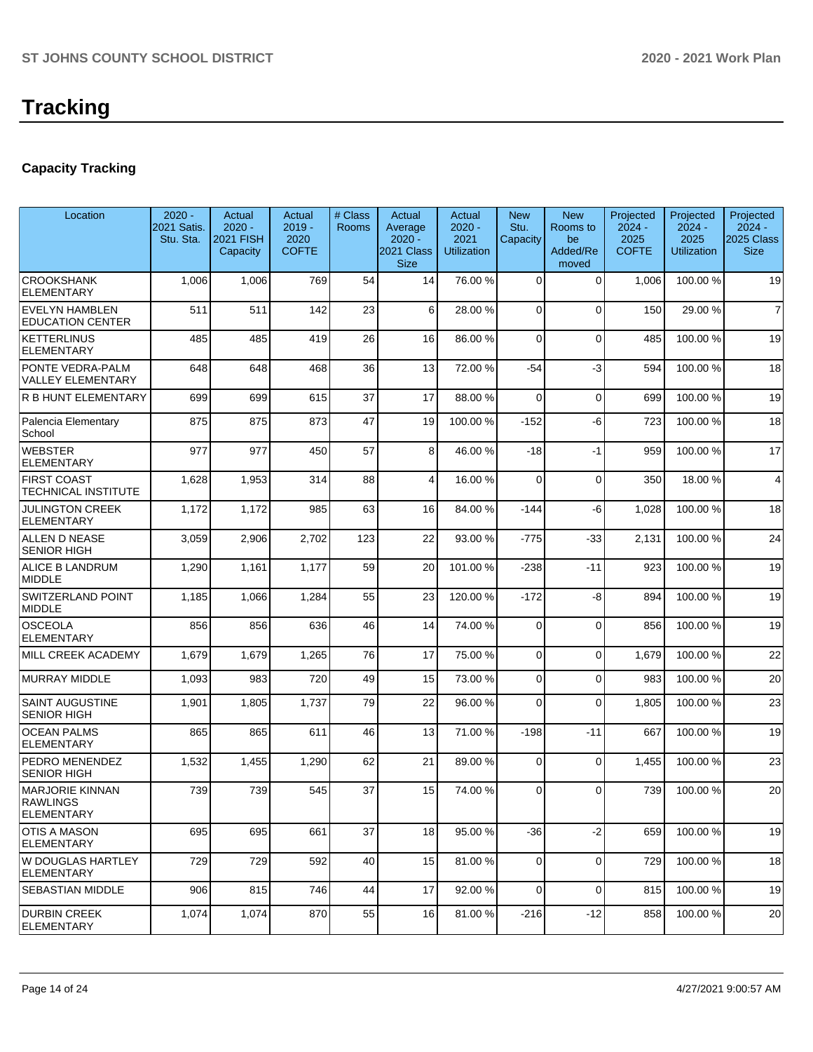# **Capacity Tracking**

| Location                                                       | $2020 -$<br>2021 Satis.<br>Stu. Sta. | Actual<br>$2020 -$<br><b>2021 FISH</b><br>Capacity | Actual<br>$2019 -$<br>2020<br><b>COFTE</b> | # Class<br><b>Rooms</b> | Actual<br>Average<br>$2020 -$<br>2021 Class<br><b>Size</b> | Actual<br>$2020 -$<br>2021<br><b>Utilization</b> | <b>New</b><br>Stu.<br>Capacity | <b>New</b><br>Rooms to<br>be<br>Added/Re<br>moved | Projected<br>$2024 -$<br>2025<br><b>COFTE</b> | Projected<br>$2024 -$<br>2025<br><b>Utilization</b> | Projected<br>$2024 -$<br>2025 Class<br><b>Size</b> |
|----------------------------------------------------------------|--------------------------------------|----------------------------------------------------|--------------------------------------------|-------------------------|------------------------------------------------------------|--------------------------------------------------|--------------------------------|---------------------------------------------------|-----------------------------------------------|-----------------------------------------------------|----------------------------------------------------|
| <b>CROOKSHANK</b><br><b>ELEMENTARY</b>                         | 1,006                                | 1,006                                              | 769                                        | 54                      | 14                                                         | 76.00 %                                          | $\Omega$                       | $\Omega$                                          | 1,006                                         | 100.00 %                                            | 19                                                 |
| <b>EVELYN HAMBLEN</b><br><b>EDUCATION CENTER</b>               | 511                                  | 511                                                | 142                                        | 23                      | 6                                                          | 28.00 %                                          | $\Omega$                       | $\Omega$                                          | 150                                           | 29.00 %                                             | $\overline{7}$                                     |
| <b>KETTERLINUS</b><br>ELEMENTARY                               | 485                                  | 485                                                | 419                                        | 26                      | 16                                                         | 86.00 %                                          | $\Omega$                       | $\Omega$                                          | 485                                           | 100.00%                                             | 19                                                 |
| PONTE VEDRA-PALM<br><b>VALLEY ELEMENTARY</b>                   | 648                                  | 648                                                | 468                                        | 36                      | 13                                                         | 72.00 %                                          | -54                            | $-3$                                              | 594                                           | 100.00%                                             | 18                                                 |
| R B HUNT ELEMENTARY                                            | 699                                  | 699                                                | 615                                        | 37                      | 17                                                         | 88.00%                                           | $\Omega$                       | $\Omega$                                          | 699                                           | 100.00%                                             | 19                                                 |
| Palencia Elementary<br>School                                  | 875                                  | 875                                                | 873                                        | 47                      | 19                                                         | 100.00%                                          | $-152$                         | -6                                                | 723                                           | 100.00%                                             | 18                                                 |
| <b>WEBSTER</b><br><b>ELEMENTARY</b>                            | 977                                  | 977                                                | 450                                        | 57                      | 8                                                          | 46.00 %                                          | $-18$                          | $-1$                                              | 959                                           | 100.00%                                             | 17                                                 |
| <b>FIRST COAST</b><br><b>TECHNICAL INSTITUTE</b>               | 1,628                                | 1,953                                              | 314                                        | 88                      | 4                                                          | 16.00%                                           | $\Omega$                       | $\Omega$                                          | 350                                           | 18.00 %                                             | 4                                                  |
| <b>JULINGTON CREEK</b><br><b>ELEMENTARY</b>                    | 1,172                                | 1,172                                              | 985                                        | 63                      | 16                                                         | 84.00 %                                          | $-144$                         | -6                                                | 1,028                                         | 100.00%                                             | 18                                                 |
| <b>ALLEN D NEASE</b><br><b>SENIOR HIGH</b>                     | 3,059                                | 2,906                                              | 2,702                                      | 123                     | 22                                                         | 93.00 %                                          | $-775$                         | $-33$                                             | 2,131                                         | 100.00%                                             | 24                                                 |
| <b>ALICE B LANDRUM</b><br><b>MIDDLE</b>                        | 1,290                                | 1,161                                              | 1,177                                      | 59                      | 20                                                         | 101.00%                                          | $-238$                         | $-11$                                             | 923                                           | 100.00%                                             | 19                                                 |
| <b>SWITZERLAND POINT</b><br><b>MIDDLE</b>                      | 1,185                                | 1,066                                              | 1,284                                      | 55                      | 23                                                         | 120.00%                                          | $-172$                         | -8                                                | 894                                           | 100.00%                                             | 19                                                 |
| <b>OSCEOLA</b><br><b>ELEMENTARY</b>                            | 856                                  | 856                                                | 636                                        | 46                      | 14                                                         | 74.00 %                                          | $\Omega$                       | $\Omega$                                          | 856                                           | 100.00%                                             | 19                                                 |
| MILL CREEK ACADEMY                                             | 1,679                                | 1,679                                              | 1,265                                      | 76                      | 17                                                         | 75.00 %                                          | 0                              | $\Omega$                                          | 1,679                                         | 100.00%                                             | 22                                                 |
| <b>MURRAY MIDDLE</b>                                           | 1,093                                | 983                                                | 720                                        | 49                      | 15                                                         | 73.00 %                                          | 0                              | $\Omega$                                          | 983                                           | 100.00%                                             | 20                                                 |
| <b>SAINT AUGUSTINE</b><br><b>SENIOR HIGH</b>                   | 1,901                                | 1,805                                              | 1,737                                      | 79                      | 22                                                         | 96.00 %                                          | $\Omega$                       | $\Omega$                                          | 1,805                                         | 100.00 %                                            | 23                                                 |
| <b>OCEAN PALMS</b><br><b>ELEMENTARY</b>                        | 865                                  | 865                                                | 611                                        | 46                      | 13                                                         | 71.00 %                                          | $-198$                         | $-11$                                             | 667                                           | 100.00%                                             | 19                                                 |
| PEDRO MENENDEZ<br><b>SENIOR HIGH</b>                           | 1,532                                | 1,455                                              | 1,290                                      | 62                      | 21                                                         | 89.00 %                                          | $\Omega$                       | $\Omega$                                          | 1,455                                         | 100.00%                                             | 23                                                 |
| <b>MARJORIE KINNAN</b><br><b>RAWLINGS</b><br><b>ELEMENTARY</b> | 739                                  | 739                                                | 545                                        | 37                      | 15                                                         | 74.00 %                                          | $\Omega$                       | $\Omega$                                          | 739                                           | 100.00%                                             | 20                                                 |
| <b>OTIS A MASON</b><br><b>ELEMENTARY</b>                       | 695                                  | 695                                                | 661                                        | 37                      | 18                                                         | 95.00 %                                          | $-36$                          | $-2$                                              | 659                                           | 100.00%                                             | 19                                                 |
| <b>W DOUGLAS HARTLEY</b><br><b>ELEMENTARY</b>                  | 729                                  | 729                                                | 592                                        | 40                      | 15                                                         | 81.00 %                                          | $\mathbf 0$                    | $\mathbf 0$                                       | 729                                           | 100.00%                                             | 18                                                 |
| <b>SEBASTIAN MIDDLE</b>                                        | 906                                  | 815                                                | 746                                        | 44                      | 17                                                         | 92.00 %                                          | $\mathbf 0$                    | $\mathbf 0$                                       | 815                                           | 100.00%                                             | 19                                                 |
| <b>DURBIN CREEK</b><br>ELEMENTARY                              | 1,074                                | 1,074                                              | 870                                        | 55                      | 16                                                         | 81.00 %                                          | $-216$                         | -12                                               | 858                                           | 100.00%                                             | 20                                                 |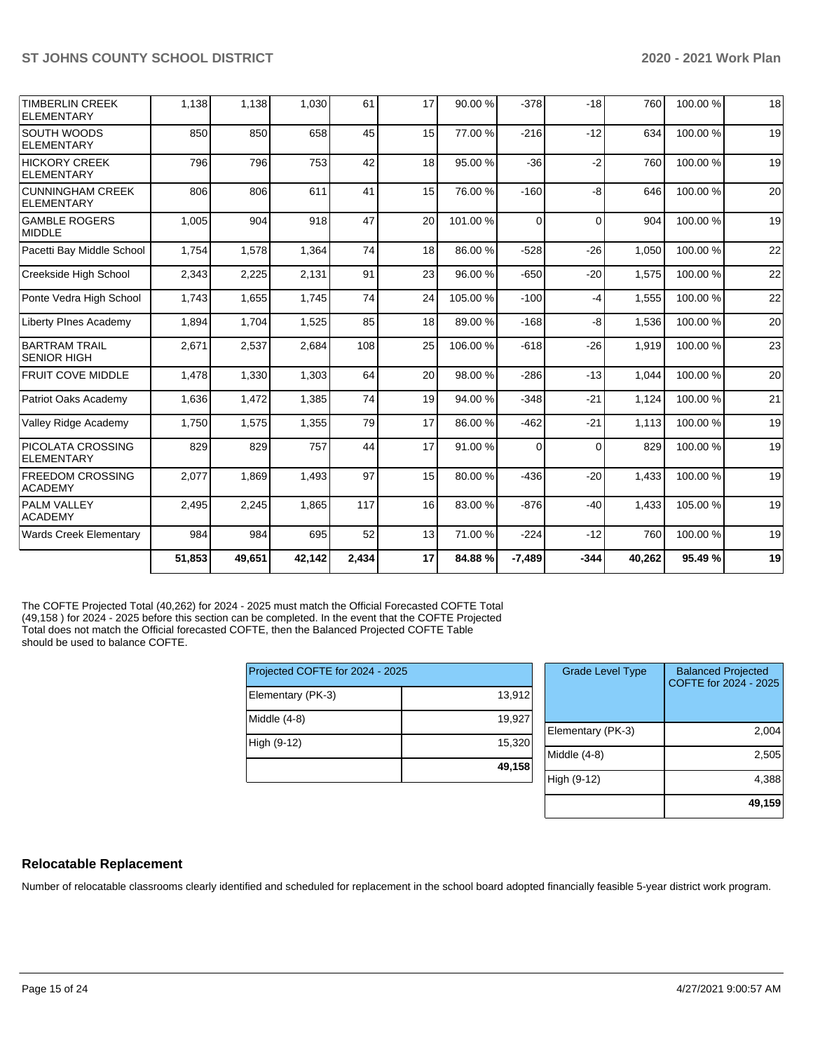|                                              | 51,853 | 49,651 | 42,142 | 2,434 | 17 | 84.88%   | $-7,489$ | $-344$   | 40,262 | 95.49%   | 19 |
|----------------------------------------------|--------|--------|--------|-------|----|----------|----------|----------|--------|----------|----|
| <b>Wards Creek Elementary</b>                | 984    | 984    | 695    | 52    | 13 | 71.00 %  | $-224$   | $-12$    | 760    | 100.00%  | 19 |
| PALM VALLEY<br><b>ACADEMY</b>                | 2,495  | 2,245  | 1,865  | 117   | 16 | 83.00 %  | $-876$   | $-40$    | 1,433  | 105.00 % | 19 |
| <b>FREEDOM CROSSING</b><br><b>ACADEMY</b>    | 2,077  | 1,869  | 1,493  | 97    | 15 | 80.00 %  | $-436$   | $-20$    | 1,433  | 100.00%  | 19 |
| PICOLATA CROSSING<br><b>ELEMENTARY</b>       | 829    | 829    | 757    | 44    | 17 | 91.00%   | $\Omega$ | $\Omega$ | 829    | 100.00%  | 19 |
| Valley Ridge Academy                         | 1,750  | 1,575  | 1,355  | 79    | 17 | 86.00 %  | $-462$   | $-21$    | 1,113  | 100.00%  | 19 |
| Patriot Oaks Academy                         | 1,636  | 1,472  | 1,385  | 74    | 19 | 94.00 %  | $-348$   | $-21$    | 1,124  | 100.00%  | 21 |
| <b>FRUIT COVE MIDDLE</b>                     | 1,478  | 1,330  | 1,303  | 64    | 20 | 98.00%   | $-286$   | $-13$    | 1,044  | 100.00%  | 20 |
| <b>BARTRAM TRAIL</b><br><b>SENIOR HIGH</b>   | 2,671  | 2,537  | 2,684  | 108   | 25 | 106.00%  | $-618$   | $-26$    | 1,919  | 100.00%  | 23 |
| Liberty PInes Academy                        | 1,894  | 1,704  | 1,525  | 85    | 18 | 89.00 %  | $-168$   | -8       | 1,536  | 100.00%  | 20 |
| Ponte Vedra High School                      | 1,743  | 1,655  | 1,745  | 74    | 24 | 105.00 % | $-100$   | $-4$     | 1,555  | 100.00%  | 22 |
| Creekside High School                        | 2,343  | 2,225  | 2,131  | 91    | 23 | 96.00 %  | $-650$   | $-20$    | 1,575  | 100.00%  | 22 |
| Pacetti Bay Middle School                    | 1,754  | 1,578  | 1,364  | 74    | 18 | 86.00%   | $-528$   | $-26$    | 1,050  | 100.00%  | 22 |
| <b>GAMBLE ROGERS</b><br><b>MIDDLE</b>        | 1,005  | 904    | 918    | 47    | 20 | 101.00%  | $\Omega$ | $\Omega$ | 904    | 100.00%  | 19 |
| <b>CUNNINGHAM CREEK</b><br><b>ELEMENTARY</b> | 806    | 806    | 611    | 41    | 15 | 76.00 %  | $-160$   | $-8$     | 646    | 100.00%  | 20 |
| <b>HICKORY CREEK</b><br><b>ELEMENTARY</b>    | 796    | 796    | 753    | 42    | 18 | 95.00 %  | $-36$    | $-2$     | 760    | 100.00%  | 19 |
| SOUTH WOODS<br><b>ELEMENTARY</b>             | 850    | 850    | 658    | 45    | 15 | 77.00 %  | $-216$   | $-12$    | 634    | 100.00%  | 19 |
| <b>TIMBERLIN CREEK</b><br><b>ELEMENTARY</b>  | 1,138  | 1,138  | 1,030  | 61    | 17 | 90.00 %  | $-378$   | $-18$    | 760    | 100.00%  | 18 |

The COFTE Projected Total (40,262) for 2024 - 2025 must match the Official Forecasted COFTE Total (49,158 ) for 2024 - 2025 before this section can be completed. In the event that the COFTE Projected Total does not match the Official forecasted COFTE, then the Balanced Projected COFTE Table should be used to balance COFTE.

| Projected COFTE for 2024 - 2025 |        | <b>Grade Level Typ</b> |
|---------------------------------|--------|------------------------|
| Elementary (PK-3)               | 13,912 |                        |
| Middle (4-8)                    | 19.927 |                        |
| High (9-12)                     | 15,320 | Elementary (PK-3)      |
|                                 | 49,158 | Middle (4-8)           |
|                                 |        | High (9-12)            |

| <b>Grade Level Type</b> | <b>Balanced Projected</b><br>COFTE for 2024 - 2025 |
|-------------------------|----------------------------------------------------|
| Elementary (PK-3)       | 2,004                                              |
| Middle (4-8)            | 2,505                                              |
| High (9-12)             | 4,388                                              |
|                         | 49,159                                             |

### **Relocatable Replacement**

Number of relocatable classrooms clearly identified and scheduled for replacement in the school board adopted financially feasible 5-year district work program.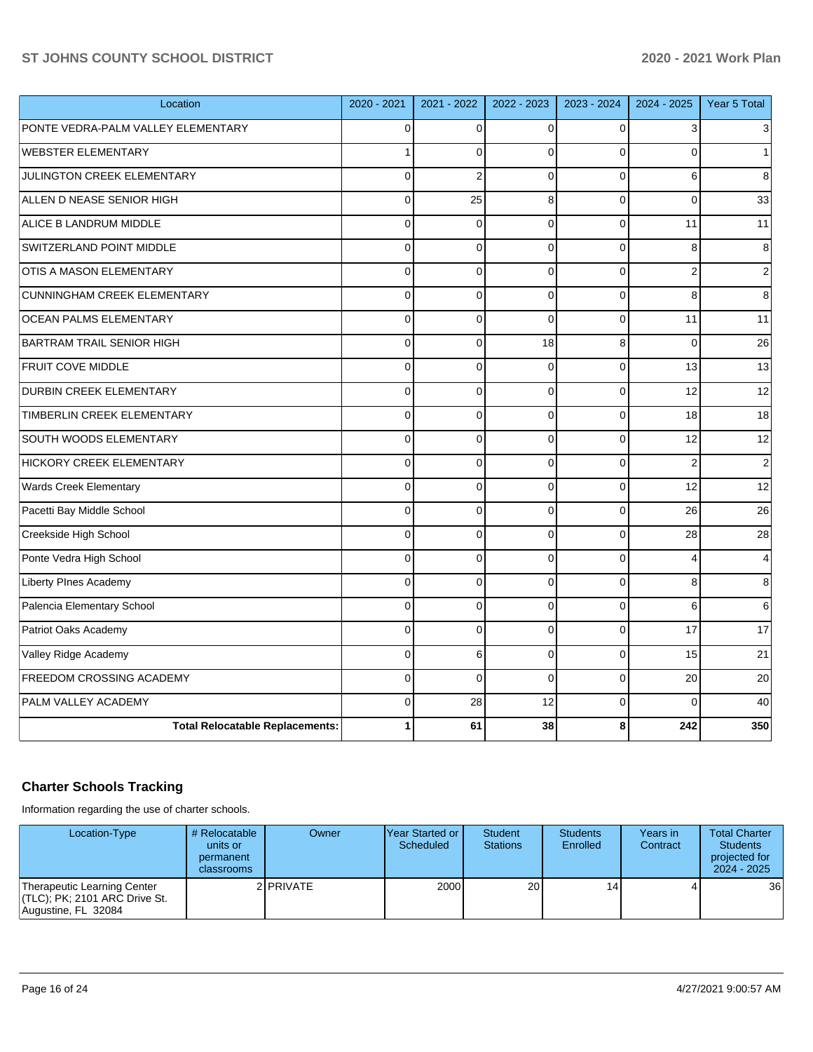| Location                               | 2020 - 2021    | 2021 - 2022    | 2022 - 2023 | 2023 - 2024    | 2024 - 2025    | Year 5 Total   |
|----------------------------------------|----------------|----------------|-------------|----------------|----------------|----------------|
| PONTE VEDRA-PALM VALLEY ELEMENTARY     | $\Omega$       | 0              | $\Omega$    | $\Omega$       |                |                |
| <b>WEBSTER ELEMENTARY</b>              | 1              | $\mathbf 0$    | $\Omega$    | $\Omega$       | $\Omega$       |                |
| <b>JULINGTON CREEK ELEMENTARY</b>      | 0              | $\overline{2}$ | $\Omega$    | $\Omega$       | 6              | 8              |
| ALLEN D NEASE SENIOR HIGH              | $\mathbf 0$    | 25             | 8           | $\Omega$       | $\Omega$       | 33             |
| ALICE B LANDRUM MIDDLE                 | $\mathbf 0$    | $\mathbf 0$    | $\Omega$    | 0              | 11             | 11             |
| SWITZERLAND POINT MIDDLE               | $\mathbf 0$    | $\Omega$       | $\Omega$    | $\Omega$       | 8              | 8              |
| OTIS A MASON ELEMENTARY                | $\mathbf 0$    | $\mathbf 0$    | $\Omega$    | $\Omega$       | $\overline{2}$ | $\overline{2}$ |
| <b>CUNNINGHAM CREEK ELEMENTARY</b>     | $\mathbf 0$    | $\Omega$       | $\Omega$    | $\Omega$       | 8              | 8              |
| <b>OCEAN PALMS ELEMENTARY</b>          | $\mathbf 0$    | $\mathbf 0$    | $\Omega$    | $\Omega$       | 11             | 11             |
| BARTRAM TRAIL SENIOR HIGH              | $\overline{0}$ | $\mathbf 0$    | 18          | 8              | $\overline{0}$ | 26             |
| <b>FRUIT COVE MIDDLE</b>               | 0              | $\mathbf 0$    | $\Omega$    | $\Omega$       | 13             | 13             |
| DURBIN CREEK ELEMENTARY                | $\mathbf 0$    | $\mathbf 0$    | $\mathbf 0$ | $\Omega$       | 12             | 12             |
| TIMBERLIN CREEK ELEMENTARY             | $\mathbf 0$    | $\mathbf 0$    | $\mathbf 0$ | $\overline{0}$ | 18             | 18             |
| SOUTH WOODS ELEMENTARY                 | $\mathbf 0$    | $\mathbf 0$    | $\Omega$    | $\Omega$       | 12             | 12             |
| HICKORY CREEK ELEMENTARY               | $\mathbf 0$    | $\mathbf 0$    | $\Omega$    | $\Omega$       | $\overline{2}$ | $\overline{c}$ |
| Wards Creek Elementary                 | $\mathbf 0$    | $\Omega$       | $\Omega$    | $\Omega$       | 12             | 12             |
| Pacetti Bay Middle School              | 0              | $\mathbf 0$    | $\Omega$    | $\Omega$       | 26             | 26             |
| Creekside High School                  | $\mathbf 0$    | $\mathbf 0$    | $\Omega$    | $\Omega$       | 28             | 28             |
| Ponte Vedra High School                | $\mathbf 0$    | $\Omega$       | $\Omega$    | $\Omega$       | 4              | 4              |
| Liberty PInes Academy                  | $\mathbf 0$    | $\mathbf 0$    | $\Omega$    | $\mathbf{0}$   | 8              | 8              |
| Palencia Elementary School             | $\mathbf 0$    | $\mathbf 0$    | $\Omega$    | $\Omega$       | 6              | 6              |
| Patriot Oaks Academy                   | $\mathbf 0$    | $\mathbf 0$    | $\Omega$    | $\Omega$       | 17             | 17             |
| Valley Ridge Academy                   | $\mathbf 0$    | $\,6$          | $\mathbf 0$ | $\Omega$       | 15             | 21             |
| FREEDOM CROSSING ACADEMY               | $\Omega$       | $\Omega$       | $\Omega$    | $\Omega$       | 20             | 20             |
| PALM VALLEY ACADEMY                    | 0              | 28             | 12          | $\Omega$       | $\Omega$       | 40             |
| <b>Total Relocatable Replacements:</b> | 1              | 61             | 38          | 8              | 242            | 350            |

## **Charter Schools Tracking**

Information regarding the use of charter schools.

| Location-Type                                                                       | # Relocatable<br>units or<br>permanent<br><b>classrooms</b> | Owner     | lYear Started or I<br>Scheduled | <b>Student</b><br><b>Stations</b> | <b>Students</b><br>Enrolled | Years in<br>Contract | <b>Total Charter</b><br><b>Students</b><br>projected for<br>2024 - 2025 |
|-------------------------------------------------------------------------------------|-------------------------------------------------------------|-----------|---------------------------------|-----------------------------------|-----------------------------|----------------------|-------------------------------------------------------------------------|
| Therapeutic Learning Center<br>(TLC); PK; 2101 ARC Drive St.<br>Augustine, FL 32084 |                                                             | 2 PRIVATE | 2000                            | 20                                | 141                         |                      | 36                                                                      |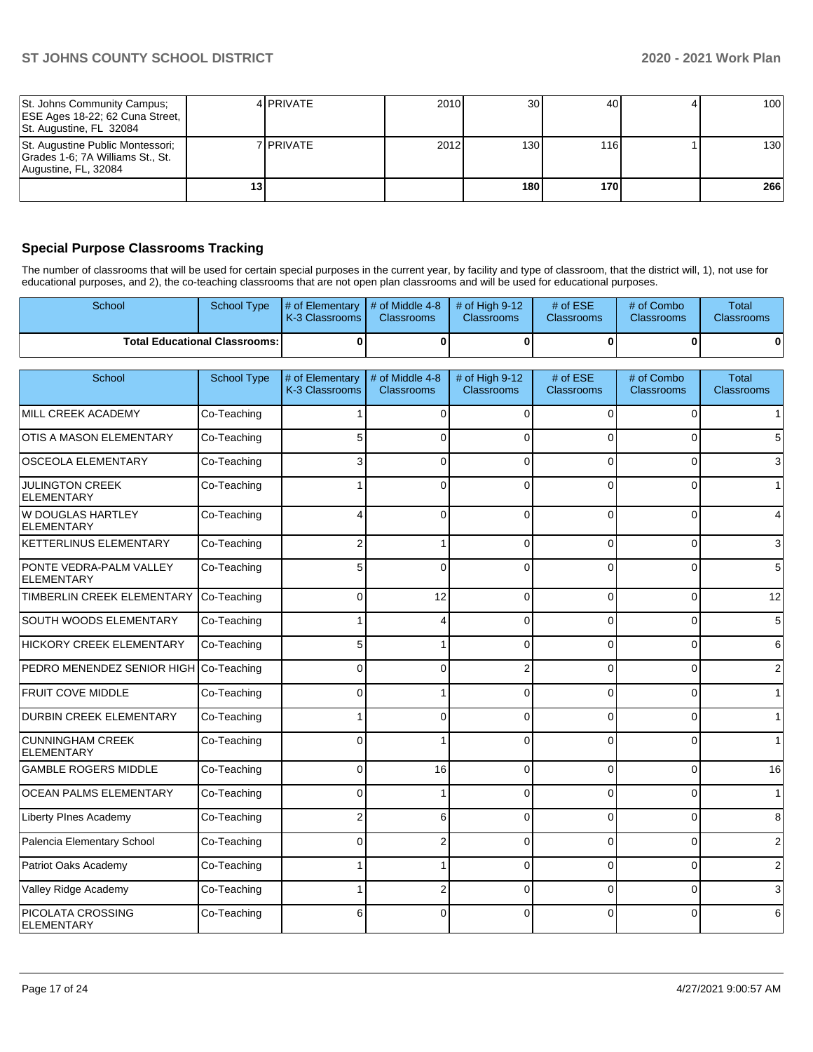| St. Johns Community Campus:<br>ESE Ages 18-22; 62 Cuna Street,<br>St. Augustine, FL 32084    |     | 4 <b>PRIVATE</b> | 2010 | 30 <sub>l</sub>  | 40  | 100 <sub>l</sub> |
|----------------------------------------------------------------------------------------------|-----|------------------|------|------------------|-----|------------------|
| St. Augustine Public Montessori;<br>Grades 1-6; 7A Williams St., St.<br>Augustine, FL, 32084 |     | 7 I PRIVATE      | 2012 | 130 <sup>I</sup> | 116 | 130 <sup>1</sup> |
|                                                                                              | 131 |                  |      | 180              | 170 | 266              |

### **Special Purpose Classrooms Tracking**

The number of classrooms that will be used for certain special purposes in the current year, by facility and type of classroom, that the district will, 1), not use for educational purposes, and 2), the co-teaching classrooms that are not open plan classrooms and will be used for educational purposes.

| <b>School</b>                          | School Type | $\sharp$ of Elementary $\sharp$ of Middle 4-8 $\sharp$ + of High 9-12<br>K-3 Classrooms | <b>Classrooms</b> | <b>Classrooms</b> | # of $ESE$<br>Classrooms | # of Combo<br><b>Classrooms</b> | Total<br><b>Classrooms</b> |
|----------------------------------------|-------------|-----------------------------------------------------------------------------------------|-------------------|-------------------|--------------------------|---------------------------------|----------------------------|
| <b>Total Educational Classrooms: I</b> |             |                                                                                         |                   |                   |                          |                                 | 01                         |

| School                                       | School Type | # of Elementary<br>K-3 Classrooms | # of Middle 4-8<br><b>Classrooms</b> | # of High 9-12<br><b>Classrooms</b> | # of ESE<br><b>Classrooms</b> | # of Combo<br><b>Classrooms</b> | <b>Total</b><br><b>Classrooms</b> |
|----------------------------------------------|-------------|-----------------------------------|--------------------------------------|-------------------------------------|-------------------------------|---------------------------------|-----------------------------------|
| MILL CREEK ACADEMY                           | Co-Teaching |                                   | $\Omega$                             | $\Omega$                            | 0                             | 0                               | $\mathbf 1$                       |
| <b>OTIS A MASON ELEMENTARY</b>               | Co-Teaching | 5                                 | $\Omega$                             | $\Omega$                            | $\Omega$                      | $\Omega$                        | 5                                 |
| OSCEOLA ELEMENTARY                           | Co-Teaching | 3                                 | $\Omega$                             | $\Omega$                            | $\Omega$                      | $\Omega$                        | 3                                 |
| <b>JULINGTON CREEK</b><br>ELEMENTARY         | Co-Teaching |                                   | $\Omega$                             | $\Omega$                            | $\Omega$                      | $\Omega$                        | $\mathbf{1}$                      |
| W DOUGLAS HARTLEY<br>ELEMENTARY              | Co-Teaching | 4                                 | $\mathbf{0}$                         | $\Omega$                            | $\Omega$                      | 0                               | 4                                 |
| KETTERLINUS ELEMENTARY                       | Co-Teaching | $\overline{2}$                    | 1                                    | $\Omega$                            | $\Omega$                      | $\overline{0}$                  | $\mathbf{3}$                      |
| PONTE VEDRA-PALM VALLEY<br><b>ELEMENTARY</b> | Co-Teaching | 5                                 | $\Omega$                             | $\Omega$                            | $\Omega$                      | $\Omega$                        | 5                                 |
| <b>TIMBERLIN CREEK ELEMENTARY</b>            | Co-Teaching | $\Omega$                          | 12                                   | $\Omega$                            | $\Omega$                      | $\overline{0}$                  | 12                                |
| SOUTH WOODS ELEMENTARY                       | Co-Teaching |                                   | 4                                    | $\Omega$                            | $\Omega$                      | $\Omega$                        | 5                                 |
| <b>HICKORY CREEK ELEMENTARY</b>              | Co-Teaching | 5                                 | 1                                    | $\Omega$                            | $\Omega$                      | $\Omega$                        | 6                                 |
| PEDRO MENENDEZ SENIOR HIGH Co-Teaching       |             | $\Omega$                          | $\Omega$                             | $\overline{2}$                      | $\Omega$                      | $\Omega$                        | 2                                 |
| FRUIT COVE MIDDLE                            | Co-Teaching | $\Omega$                          |                                      | $\Omega$                            | $\Omega$                      | $\Omega$                        | $\mathbf{1}$                      |
| <b>DURBIN CREEK ELEMENTARY</b>               | Co-Teaching |                                   | $\Omega$                             | $\Omega$                            | $\Omega$                      | $\Omega$                        | $\mathbf{1}$                      |
| <b>CUNNINGHAM CREEK</b><br><b>ELEMENTARY</b> | Co-Teaching | $\Omega$                          |                                      | $\Omega$                            | $\Omega$                      | $\Omega$                        | $\mathbf{1}$                      |
| <b>GAMBLE ROGERS MIDDLE</b>                  | Co-Teaching | $\Omega$                          | 16                                   | $\Omega$                            | $\Omega$                      | $\Omega$                        | 16                                |
| <b>OCEAN PALMS ELEMENTARY</b>                | Co-Teaching | $\Omega$                          |                                      | $\Omega$                            | $\Omega$                      | 0                               | $\mathbf{1}$                      |
| Liberty PInes Academy                        | Co-Teaching | $\overline{2}$                    | 6                                    | $\Omega$                            | $\Omega$                      | $\Omega$                        | 8                                 |
| Palencia Elementary School                   | Co-Teaching | $\Omega$                          | $\overline{2}$                       | $\Omega$                            | $\Omega$                      | $\Omega$                        | 2                                 |
| Patriot Oaks Academy                         | Co-Teaching |                                   | 1                                    | $\Omega$                            | $\Omega$                      | 0                               | 2                                 |
| Valley Ridge Academy                         | Co-Teaching |                                   | $\overline{2}$                       | $\Omega$                            | $\Omega$                      | $\Omega$                        | 3                                 |
| PICOLATA CROSSING<br><b>ELEMENTARY</b>       | Co-Teaching | 6                                 | $\Omega$                             | $\Omega$                            | $\Omega$                      | $\Omega$                        | 6                                 |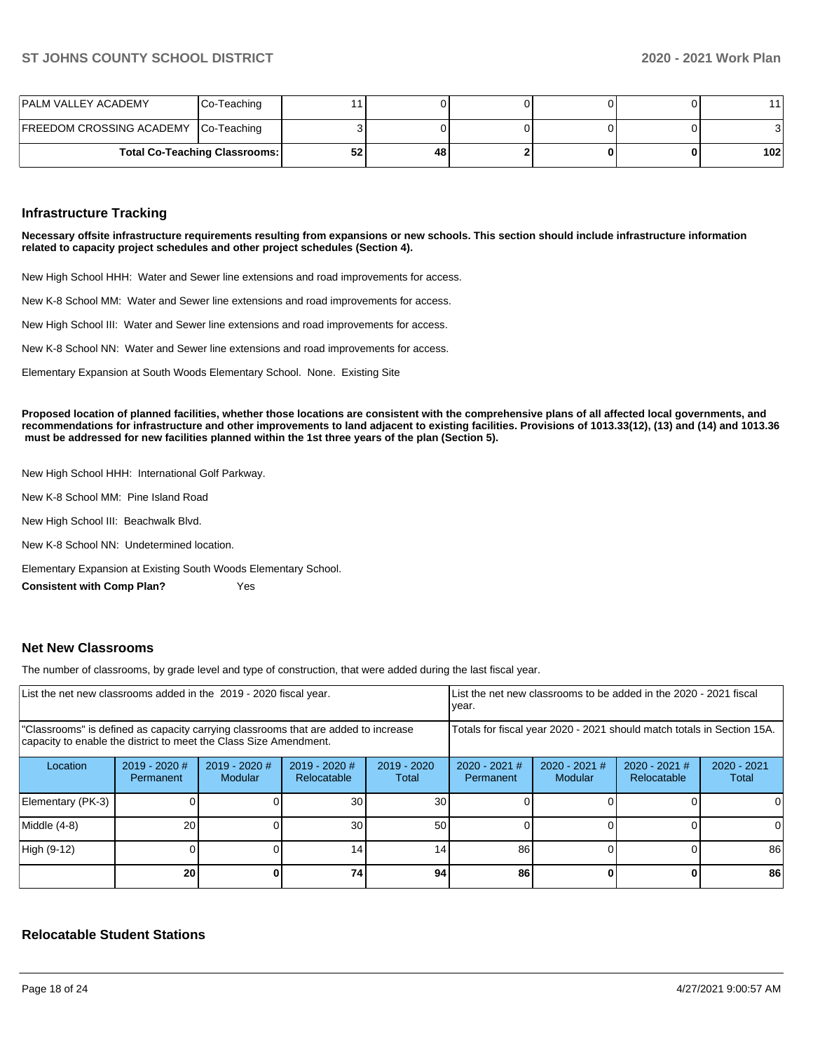| IPALM VALLEY ACADEMY                 | Co-Teaching |    |  |     |  |
|--------------------------------------|-------------|----|--|-----|--|
| FREEDOM CROSSING ACADEMY Co-Teaching |             |    |  |     |  |
| <b>Total Co-Teaching Classrooms:</b> | 52          | 48 |  | 102 |  |

### **Infrastructure Tracking**

**Necessary offsite infrastructure requirements resulting from expansions or new schools. This section should include infrastructure information related to capacity project schedules and other project schedules (Section 4).** 

New High School HHH: Water and Sewer line extensions and road improvements for access.

New K-8 School MM: Water and Sewer line extensions and road improvements for access.

New High School III: Water and Sewer line extensions and road improvements for access.

New K-8 School NN: Water and Sewer line extensions and road improvements for access.

Elementary Expansion at South Woods Elementary School. None. Existing Site

**Proposed location of planned facilities, whether those locations are consistent with the comprehensive plans of all affected local governments, and recommendations for infrastructure and other improvements to land adjacent to existing facilities. Provisions of 1013.33(12), (13) and (14) and 1013.36 must be addressed for new facilities planned within the 1st three years of the plan (Section 5).** 

New High School HHH: International Golf Parkway.

New K-8 School MM: Pine Island Road

New High School III: Beachwalk Blvd.

New K-8 School NN: Undetermined location.

Elementary Expansion at Existing South Woods Elementary School.

**Consistent with Comp Plan?** Yes

### **Net New Classrooms**

The number of classrooms, by grade level and type of construction, that were added during the last fiscal year.

| List the net new classrooms added in the 2019 - 2020 fiscal year. |                              |                                                                                                                                                         |                              |                      | year.                        |                          | List the net new classrooms to be added in the 2020 - 2021 fiscal      |                        |  |
|-------------------------------------------------------------------|------------------------------|---------------------------------------------------------------------------------------------------------------------------------------------------------|------------------------------|----------------------|------------------------------|--------------------------|------------------------------------------------------------------------|------------------------|--|
|                                                                   |                              | "Classrooms" is defined as capacity carrying classrooms that are added to increase<br>capacity to enable the district to meet the Class Size Amendment. |                              |                      |                              |                          | Totals for fiscal year 2020 - 2021 should match totals in Section 15A. |                        |  |
| Location                                                          | $2019 - 2020$ #<br>Permanent | 2019 - 2020 #<br>Modular                                                                                                                                | 2019 - 2020 #<br>Relocatable | 2019 - 2020<br>Total | $2020 - 2021$ #<br>Permanent | 2020 - 2021 #<br>Modular | 2020 - 2021 #<br>Relocatable                                           | $2020 - 2021$<br>Total |  |
| Elementary (PK-3)                                                 |                              |                                                                                                                                                         | 30                           | 30                   |                              |                          |                                                                        | 0                      |  |
| Middle (4-8)                                                      | 20                           |                                                                                                                                                         | 30                           | 50                   |                              |                          |                                                                        | 0                      |  |
| High (9-12)                                                       |                              |                                                                                                                                                         | 14.                          | 14.                  | 86                           |                          |                                                                        | 86                     |  |
|                                                                   | 20                           |                                                                                                                                                         | 74                           | 94                   | 86                           | 0                        |                                                                        | 86                     |  |

### **Relocatable Student Stations**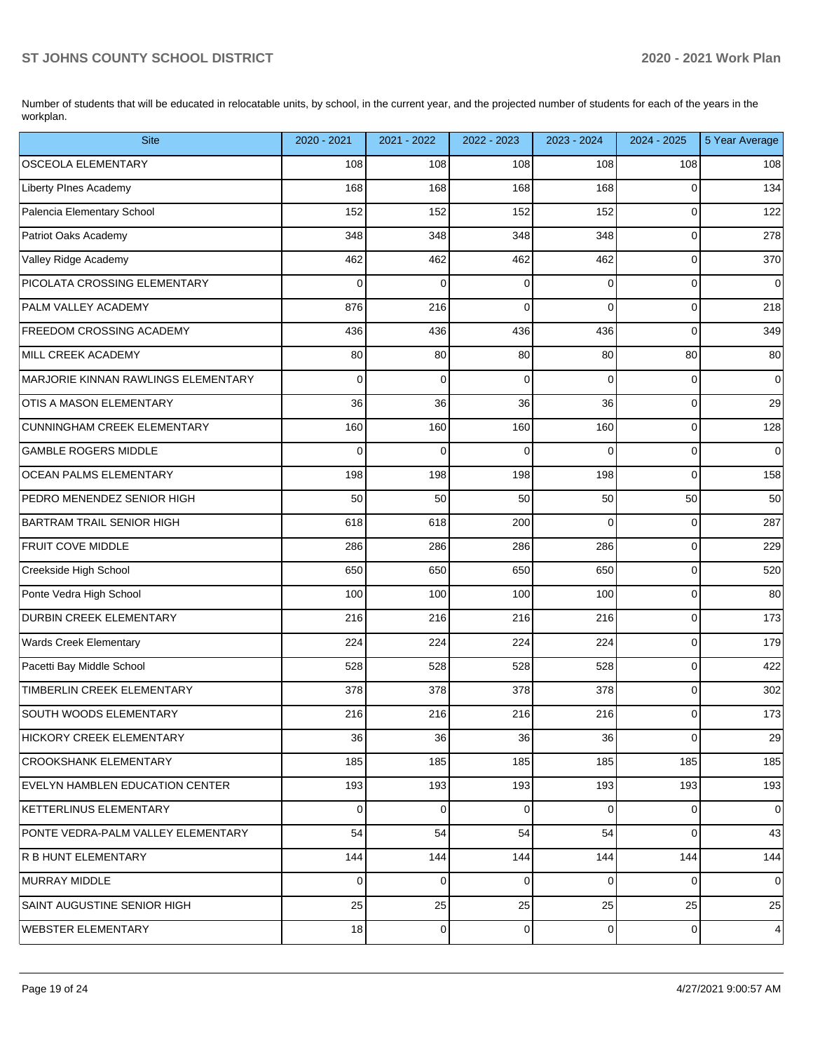Number of students that will be educated in relocatable units, by school, in the current year, and the projected number of students for each of the years in the workplan.

| <b>Site</b>                         | 2020 - 2021    | 2021 - 2022 | 2022 - 2023 | 2023 - 2024    | 2024 - 2025    | 5 Year Average      |
|-------------------------------------|----------------|-------------|-------------|----------------|----------------|---------------------|
| OSCEOLA ELEMENTARY                  | 108            | 108         | 108         | 108            | 108            | 108                 |
| Liberty PInes Academy               | 168            | 168         | 168         | 168            | 0              | 134                 |
| Palencia Elementary School          | 152            | 152         | 152         | 152            | $\mathbf 0$    | 122                 |
| Patriot Oaks Academy                | 348            | 348         | 348         | 348            | $\mathbf 0$    | 278                 |
| Valley Ridge Academy                | 462            | 462         | 462         | 462            | $\mathbf 0$    | 370                 |
| PICOLATA CROSSING ELEMENTARY        | 0              | $\mathbf 0$ | 0           | $\Omega$       | $\mathbf 0$    | $\mathsf{O}\xspace$ |
| PALM VALLEY ACADEMY                 | 876            | 216         | $\Omega$    | $\Omega$       | $\mathbf 0$    | 218                 |
| <b>FREEDOM CROSSING ACADEMY</b>     | 436            | 436         | 436         | 436            | $\mathbf 0$    | 349                 |
| MILL CREEK ACADEMY                  | 80             | 80          | 80          | 80             | 80             | 80                  |
| MARJORIE KINNAN RAWLINGS ELEMENTARY | 0              | $\mathbf 0$ | $\Omega$    | $\Omega$       | $\mathbf 0$    | $\mathsf{O}\xspace$ |
| OTIS A MASON ELEMENTARY             | 36             | 36          | 36          | 36             | $\mathbf 0$    | 29                  |
| CUNNINGHAM CREEK ELEMENTARY         | 160            | 160         | 160         | 160            | $\mathbf 0$    | 128                 |
| <b>GAMBLE ROGERS MIDDLE</b>         | 0              | $\mathbf 0$ | $\Omega$    | $\Omega$       | $\mathbf 0$    | $\mathsf{O}\xspace$ |
| <b>OCEAN PALMS ELEMENTARY</b>       | 198            | 198         | 198         | 198            | $\mathbf 0$    | 158                 |
| PEDRO MENENDEZ SENIOR HIGH          | 50             | 50          | 50          | 50             | 50             | 50                  |
| BARTRAM TRAIL SENIOR HIGH           | 618            | 618         | 200         | $\Omega$       | $\mathbf 0$    | 287                 |
| <b>FRUIT COVE MIDDLE</b>            | 286            | 286         | 286         | 286            | $\mathbf 0$    | 229                 |
| Creekside High School               | 650            | 650         | 650         | 650            | $\mathbf 0$    | 520                 |
| Ponte Vedra High School             | 100            | 100         | 100         | 100            | $\mathbf 0$    | 80                  |
| <b>DURBIN CREEK ELEMENTARY</b>      | 216            | 216         | 216         | 216            | $\mathbf 0$    | 173                 |
| <b>Wards Creek Elementary</b>       | 224            | 224         | 224         | 224            | $\mathbf 0$    | 179                 |
| Pacetti Bay Middle School           | 528            | 528         | 528         | 528            | $\mathbf 0$    | 422                 |
| TIMBERLIN CREEK ELEMENTARY          | 378            | 378         | 378         | 378            | $\mathbf 0$    | 302                 |
| SOUTH WOODS ELEMENTARY              | 216            | 216         | 216         | 216            | $\mathbf 0$    | 173                 |
| HICKORY CREEK ELEMENTARY            | 36             | 36          | 36          | 36             | 0              | 29                  |
| <b>CROOKSHANK ELEMENTARY</b>        | 185            | 185         | 185         | 185            | 185            | 185                 |
| EVELYN HAMBLEN EDUCATION CENTER     | 193            | 193         | 193         | 193            | 193            | 193                 |
| KETTERLINUS ELEMENTARY              | $\overline{0}$ | 0           | 0           | $\overline{0}$ | $\mathbf 0$    | $\mathbf 0$         |
| PONTE VEDRA-PALM VALLEY ELEMENTARY  | 54             | 54          | 54          | 54             | $\overline{0}$ | 43                  |
| R B HUNT ELEMENTARY                 | 144            | 144         | 144         | 144            | 144            | 144                 |
| MURRAY MIDDLE                       | $\overline{0}$ | 0           | 0           | $\overline{0}$ | $\overline{0}$ | $\mathbf 0$         |
| SAINT AUGUSTINE SENIOR HIGH         | 25             | 25          | 25          | 25             | 25             | 25                  |
| <b>WEBSTER ELEMENTARY</b>           | 18             | $\pmb{0}$   | 0           | $\overline{0}$ | $\overline{0}$ | $\overline{4}$      |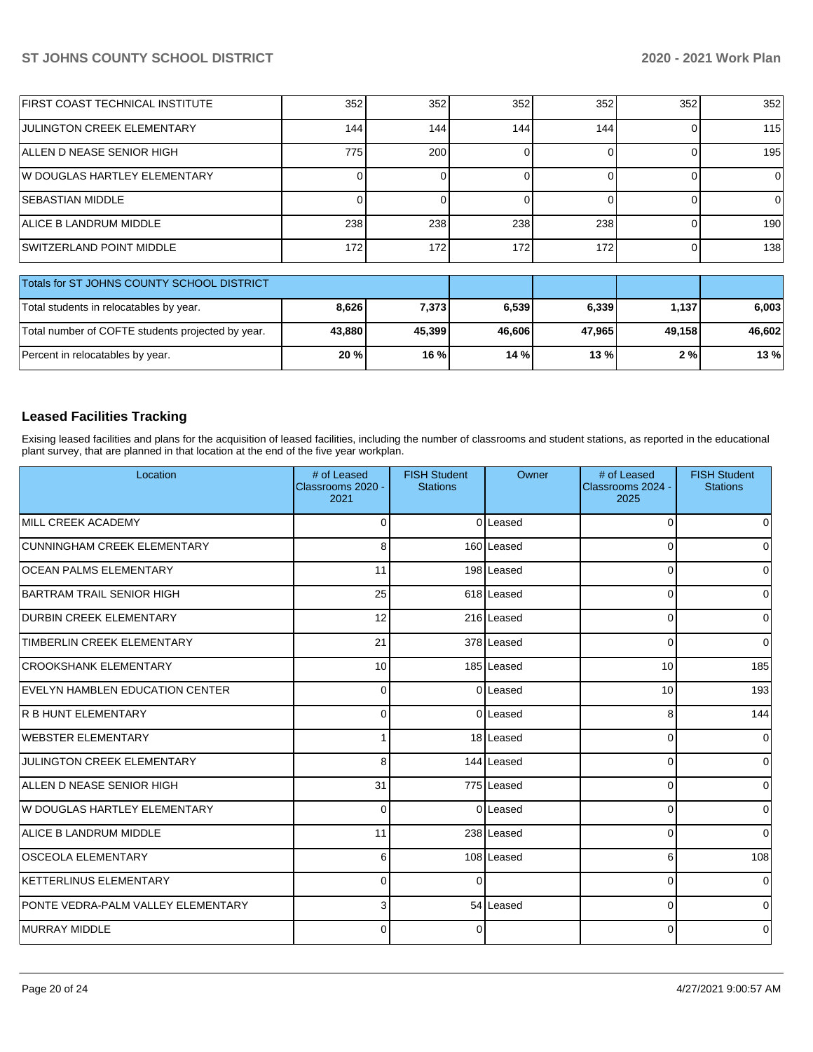| FIRST COAST TECHNICAL INSTITUTE            | 352 | 352 | 352 | 352 | 352 | 352 |  |  |  |  |
|--------------------------------------------|-----|-----|-----|-----|-----|-----|--|--|--|--|
| <b>JULINGTON CREEK ELEMENTARY</b>          | 144 | 144 | 144 | 144 |     | 115 |  |  |  |  |
| ALLEN D NEASE SENIOR HIGH                  | 775 | 200 |     |     |     | 195 |  |  |  |  |
| W DOUGLAS HARTLEY ELEMENTARY               |     |     |     |     |     | 01  |  |  |  |  |
| <b>SEBASTIAN MIDDLE</b>                    |     |     |     |     |     | 0   |  |  |  |  |
| ALICE B LANDRUM MIDDLE                     | 238 | 238 | 238 | 238 |     | 190 |  |  |  |  |
| <b>SWITZERLAND POINT MIDDLE</b>            | 172 | 172 | 172 | 172 |     | 138 |  |  |  |  |
| Totals for ST JOHNS COUNTY SCHOOL DISTRICT |     |     |     |     |     |     |  |  |  |  |
|                                            |     |     |     |     |     |     |  |  |  |  |

| ו טושט שטט וויטט וויסט און ויטען טוויס וויס       |        |        |        |        |        |        |
|---------------------------------------------------|--------|--------|--------|--------|--------|--------|
| Total students in relocatables by year.           | 8,626  | 7,373  | 6,539  | 6,339  | 1,137  | 6,003  |
| Total number of COFTE students projected by year. | 43.880 | 45,399 | 46.606 | 47.965 | 49.158 | 46.602 |
| Percent in relocatables by year.                  | 20 %   | 16 %   | 14 %   | 13%    | 2 % l  | 13%    |

# **Leased Facilities Tracking**

Exising leased facilities and plans for the acquisition of leased facilities, including the number of classrooms and student stations, as reported in the educational plant survey, that are planned in that location at the end of the five year workplan.

| Location                           | # of Leased<br>Classrooms 2020 -<br>2021 | <b>FISH Student</b><br><b>Stations</b> | Owner      | # of Leased<br>Classrooms 2024 -<br>2025 | <b>FISH Student</b><br><b>Stations</b> |
|------------------------------------|------------------------------------------|----------------------------------------|------------|------------------------------------------|----------------------------------------|
| MILL CREEK ACADEMY                 | $\Omega$                                 |                                        | 0 Leased   | $\Omega$                                 | $\Omega$                               |
| CUNNINGHAM CREEK ELEMENTARY        | 8                                        |                                        | 160 Leased | 0                                        | $\Omega$                               |
| <b>OCEAN PALMS ELEMENTARY</b>      | 11                                       |                                        | 198 Leased | 0                                        | 0                                      |
| <b>BARTRAM TRAIL SENIOR HIGH</b>   | 25                                       |                                        | 618 Leased | $\mathbf 0$                              | 0                                      |
| <b>DURBIN CREEK ELEMENTARY</b>     | 12                                       |                                        | 216 Leased | 0                                        | $\Omega$                               |
| TIMBERLIN CREEK ELEMENTARY         | 21                                       |                                        | 378 Leased | $\mathbf 0$                              | $\Omega$                               |
| <b>CROOKSHANK ELEMENTARY</b>       | 10                                       |                                        | 185 Leased | 10                                       | 185                                    |
| EVELYN HAMBLEN EDUCATION CENTER    | $\Omega$                                 |                                        | 0 Leased   | 10                                       | 193                                    |
| <b>R B HUNT ELEMENTARY</b>         | $\Omega$                                 |                                        | 0 Leased   | 8                                        | 144                                    |
| WEBSTER ELEMENTARY                 | 1                                        |                                        | 18 Leased  | 0                                        | $\Omega$                               |
| <b>JULINGTON CREEK ELEMENTARY</b>  | 8                                        |                                        | 144 Leased | 0                                        | 0                                      |
| ALLEN D NEASE SENIOR HIGH          | 31                                       |                                        | 775 Leased | $\overline{0}$                           | 0                                      |
| W DOUGLAS HARTLEY ELEMENTARY       | $\Omega$                                 |                                        | 0 Leased   | 0                                        | $\Omega$                               |
| ALICE B LANDRUM MIDDLE             | 11                                       |                                        | 238 Leased | 0                                        | $\Omega$                               |
| <b>OSCEOLA ELEMENTARY</b>          | 6                                        |                                        | 108 Leased | 6                                        | 108                                    |
| KETTERLINUS ELEMENTARY             | 0                                        | $\Omega$                               |            | $\mathbf 0$                              | $\Omega$                               |
| PONTE VEDRA-PALM VALLEY ELEMENTARY | 3                                        |                                        | 54 Leased  | $\mathbf 0$                              | $\Omega$                               |
| MURRAY MIDDLE                      | 0                                        | 0                                      |            | 0                                        | 0                                      |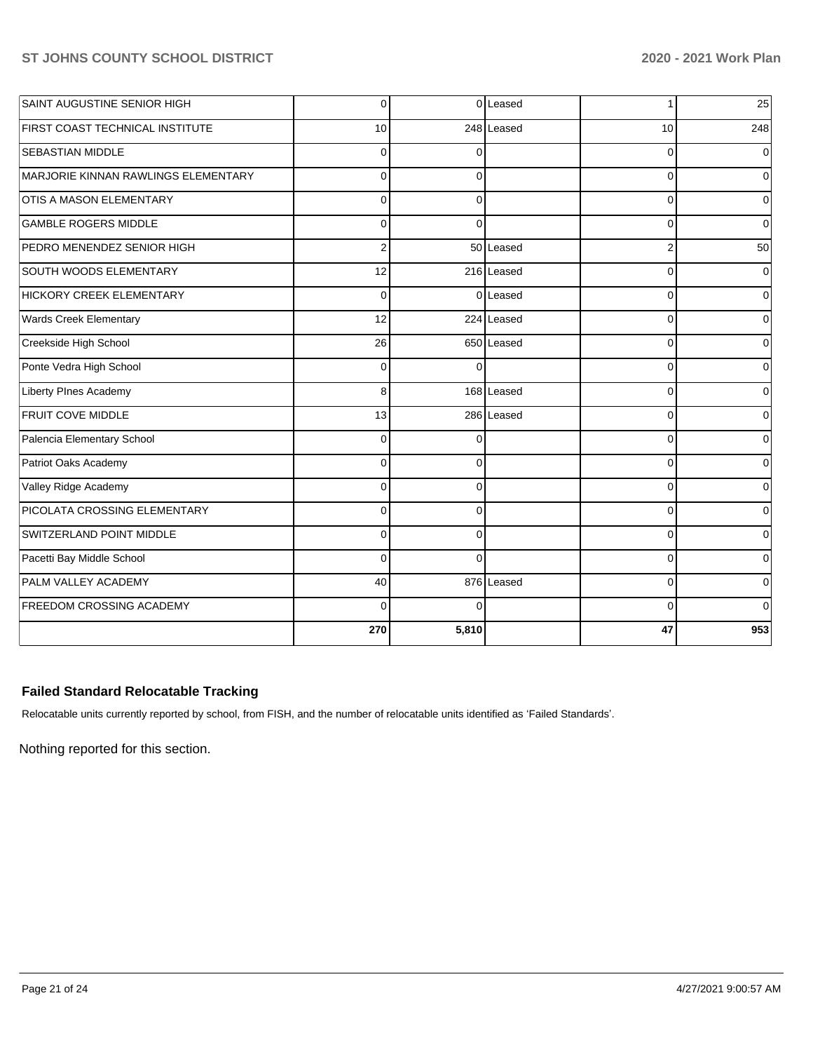| SAINT AUGUSTINE SENIOR HIGH         | $\Omega$       |          | 0 Leased   | 1              | 25           |
|-------------------------------------|----------------|----------|------------|----------------|--------------|
| FIRST COAST TECHNICAL INSTITUTE     | 10             |          | 248 Leased | 10             | 248          |
| <b>SEBASTIAN MIDDLE</b>             | $\Omega$       | $\Omega$ |            | $\Omega$       | 0            |
| MARJORIE KINNAN RAWLINGS ELEMENTARY | $\Omega$       | $\Omega$ |            | $\Omega$       | $\Omega$     |
| <b>OTIS A MASON ELEMENTARY</b>      | $\mathbf 0$    | 0        |            | 0              | 0            |
| <b>GAMBLE ROGERS MIDDLE</b>         | $\mathbf 0$    | $\Omega$ |            | 0              | $\Omega$     |
| PEDRO MENENDEZ SENIOR HIGH          | $\overline{2}$ |          | 50 Leased  | $\overline{2}$ | 50           |
| SOUTH WOODS ELEMENTARY              | 12             |          | 216 Leased | 0              | 0            |
| HICKORY CREEK ELEMENTARY            | $\mathbf 0$    |          | 0 Leased   | 0              | <sup>0</sup> |
| <b>Wards Creek Elementary</b>       | 12             |          | 224 Leased | 0              | 0            |
| Creekside High School               | 26             |          | 650 Leased | $\Omega$       | 0            |
| Ponte Vedra High School             | $\Omega$       | $\Omega$ |            | $\Omega$       | <sup>0</sup> |
| <b>Liberty PInes Academy</b>        | 8              |          | 168 Leased | 0              | $\Omega$     |
| FRUIT COVE MIDDLE                   | 13             |          | 286 Leased | $\Omega$       | U            |
| Palencia Elementary School          | $\Omega$       | $\Omega$ |            | $\Omega$       | $\Omega$     |
| Patriot Oaks Academy                | $\mathbf 0$    | 0        |            | $\Omega$       | $\Omega$     |
| Valley Ridge Academy                | $\Omega$       | $\Omega$ |            | $\Omega$       | $\Omega$     |
| PICOLATA CROSSING ELEMENTARY        | $\Omega$       | $\Omega$ |            | $\Omega$       | <sup>0</sup> |
| SWITZERLAND POINT MIDDLE            | $\Omega$       | $\Omega$ |            | $\Omega$       | $\Omega$     |
| Pacetti Bay Middle School           | $\Omega$       | $\Omega$ |            | $\Omega$       | 0            |
| PALM VALLEY ACADEMY                 | 40             |          | 876 Leased | 0              | $\Omega$     |
| FREEDOM CROSSING ACADEMY            | $\Omega$       | C        |            | 0              | <sup>0</sup> |
|                                     | 270            | 5,810    |            | 47             | 953          |

## **Failed Standard Relocatable Tracking**

Relocatable units currently reported by school, from FISH, and the number of relocatable units identified as 'Failed Standards'.

Nothing reported for this section.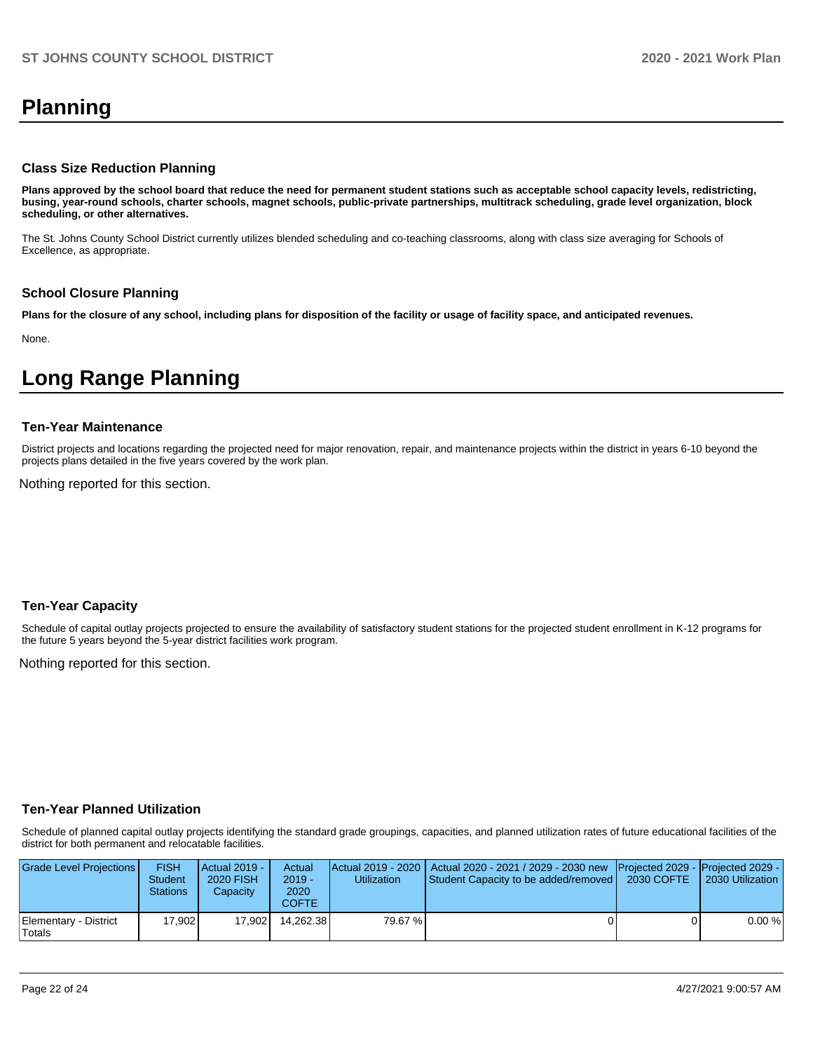# **Planning**

### **Class Size Reduction Planning**

**Plans approved by the school board that reduce the need for permanent student stations such as acceptable school capacity levels, redistricting, busing, year-round schools, charter schools, magnet schools, public-private partnerships, multitrack scheduling, grade level organization, block scheduling, or other alternatives.**

The St. Johns County School District currently utilizes blended scheduling and co-teaching classrooms, along with class size averaging for Schools of Excellence, as appropriate.

### **School Closure Planning**

**Plans for the closure of any school, including plans for disposition of the facility or usage of facility space, and anticipated revenues.** 

None.

# **Long Range Planning**

### **Ten-Year Maintenance**

District projects and locations regarding the projected need for major renovation, repair, and maintenance projects within the district in years 6-10 beyond the projects plans detailed in the five years covered by the work plan.

Nothing reported for this section.

### **Ten-Year Capacity**

Schedule of capital outlay projects projected to ensure the availability of satisfactory student stations for the projected student enrollment in K-12 programs for the future 5 years beyond the 5-year district facilities work program.

Nothing reported for this section.

### **Ten-Year Planned Utilization**

Schedule of planned capital outlay projects identifying the standard grade groupings, capacities, and planned utilization rates of future educational facilities of the district for both permanent and relocatable facilities.

| Grade Level Projections         | <b>FISH</b><br><b>Student</b><br><b>Stations</b> | Actual 2019 -<br>2020 FISH<br>Capacity | Actual<br>$2019 -$<br>2020<br>COFTE | <b>Utilization</b> | Actual 2019 - 2020   Actual 2020 - 2021 / 2029 - 2030 new   Projected 2029 -   Projected 2029 -<br>Student Capacity to be added/removed   2030 COFTE | 2030 Utilization |
|---------------------------------|--------------------------------------------------|----------------------------------------|-------------------------------------|--------------------|------------------------------------------------------------------------------------------------------------------------------------------------------|------------------|
| Elementary - District<br>Totals | 17.902                                           | 17.902                                 | 14.262.38                           | 79.67 %            |                                                                                                                                                      | 0.00%            |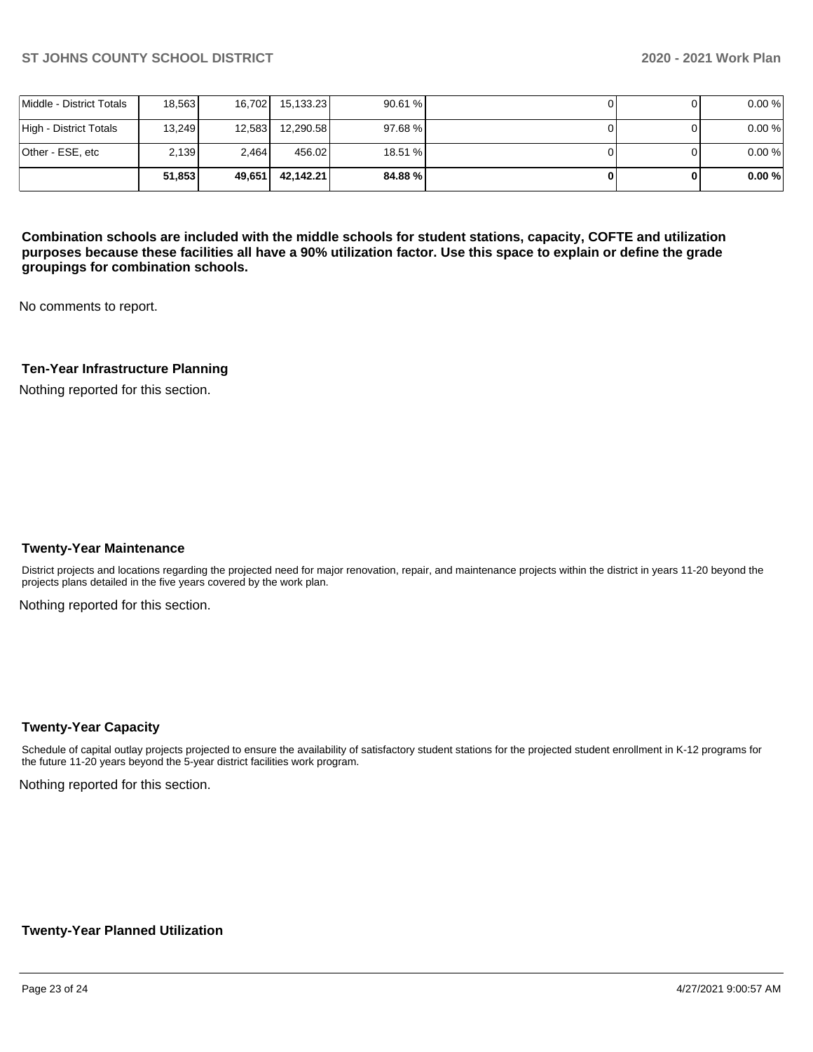|                          | 51,853 | 49.651 | 42.142.21 | 84.88%  |  | 0.00% |
|--------------------------|--------|--------|-----------|---------|--|-------|
| Other - ESE, etc         | 2,139  | 2,464  | 456.02    | 18.51 % |  | 0.00% |
| High - District Totals   | 13.249 | 12,583 | 12,290.58 | 97.68 % |  | 0.00% |
| Middle - District Totals | 18,563 | 16.702 | 15,133.23 | 90.61%  |  | 0.00% |

**Combination schools are included with the middle schools for student stations, capacity, COFTE and utilization purposes because these facilities all have a 90% utilization factor. Use this space to explain or define the grade groupings for combination schools.** 

No comments to report.

### **Ten-Year Infrastructure Planning**

Nothing reported for this section.

### **Twenty-Year Maintenance**

District projects and locations regarding the projected need for major renovation, repair, and maintenance projects within the district in years 11-20 beyond the projects plans detailed in the five years covered by the work plan.

Nothing reported for this section.

### **Twenty-Year Capacity**

Schedule of capital outlay projects projected to ensure the availability of satisfactory student stations for the projected student enrollment in K-12 programs for the future 11-20 years beyond the 5-year district facilities work program.

Nothing reported for this section.

### **Twenty-Year Planned Utilization**